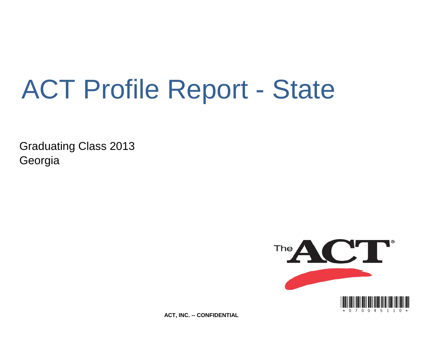# ACT Profile Report - State

Graduating Class 2013 Georgia



**ACT, INC. -- CONFIDENTIAL**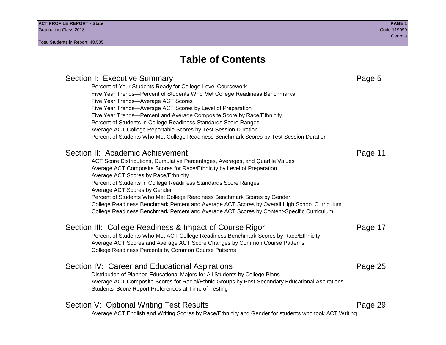Section I: Executive Summary **Page 5** and the section I: Executive Summary Percent of Your Students Ready for College-Level Coursework Five Year Trends—Percent of Students Who Met College Readiness Benchmarks Five Year Trends—Average ACT Scores Five Year Trends—Average ACT Scores by Level of Preparation Five Year Trends—Percent and Average Composite Score by Race/Ethnicity Percent of Students in College Readiness Standards Score Ranges Average ACT College Reportable Scores by Test Session Duration Percent of Students Who Met College Readiness Benchmark Scores by Test Session Duration Section II: Academic Achievement **Page 11** Page 11 ACT Score Distributions, Cumulative Percentages, Averages, and Quartile Values Average ACT Composite Scores for Race/Ethnicity by Level of Preparation Average ACT Scores by Race/Ethnicity Percent of Students in College Readiness Standards Score Ranges Average ACT Scores by Gender Percent of Students Who Met College Readiness Benchmark Scores by Gender College Readiness Benchmark Percent and Average ACT Scores by Overall High School Curriculum College Readiness Benchmark Percent and Average ACT Scores by Content-Specific Curriculum Section III: College Readiness & Impact of Course Rigor Page 17 Percent of Students Who Met ACT College Readiness Benchmark Scores by Race/Ethnicity Average ACT Scores and Average ACT Score Changes by Common Course Patterns College Readiness Percents by Common Course Patterns Section IV: Career and Educational Aspirations **Page 25** Page 25 Distribution of Planned Educational Majors for All Students by College Plans Average ACT Composite Scores for Racial/Ethnic Groups by Post-Secondary Educational Aspirations Students' Score Report Preferences at Time of Testing Section V: Optional Writing Test Results **Page 29** Page 29 Average ACT English and Writing Scores by Race/Ethnicity and Gender for students who took ACT Writing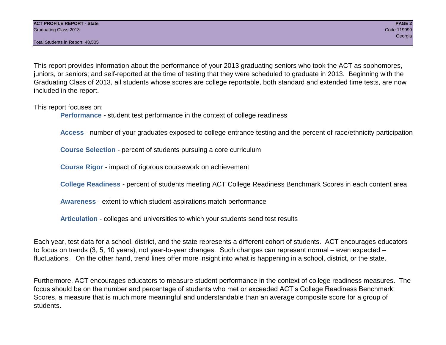This report provides information about the performance of your 2013 graduating seniors who took the ACT as sophomores, juniors, or seniors; and self-reported at the time of testing that they were scheduled to graduate in 2013. Beginning with the Graduating Class of 2013, all students whose scores are college reportable, both standard and extended time tests, are now included in the report.

This report focuses on:

**Performance** - student test performance in the context of college readiness

**Access** - number of your graduates exposed to college entrance testing and the percent of race/ethnicity participation

**Course Selection** - percent of students pursuing a core curriculum

**Course Rigor** - impact of rigorous coursework on achievement

**College Readiness** - percent of students meeting ACT College Readiness Benchmark Scores in each content area

**Awareness** - extent to which student aspirations match performance

**Articulation** - colleges and universities to which your students send test results

Each year, test data for a school, district, and the state represents a different cohort of students. ACT encourages educators to focus on trends (3, 5, 10 years), not year-to-year changes. Such changes can represent normal – even expected – fluctuations. On the other hand, trend lines offer more insight into what is happening in a school, district, or the state.

Furthermore, ACT encourages educators to measure student performance in the context of college readiness measures. The focus should be on the number and percentage of students who met or exceeded ACT's College Readiness Benchmark Scores, a measure that is much more meaningful and understandable than an average composite score for a group of students.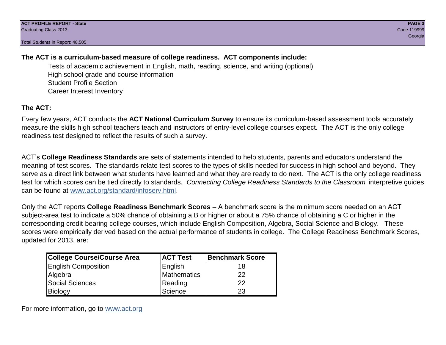### **The ACT is a curriculum-based measure of college readiness. ACT components include:**

Tests of academic achievement in English, math, reading, science, and writing (optional) High school grade and course information Student Profile Section Career Interest Inventory

### **The ACT:**

Every few years, ACT conducts the **ACT National Curriculum Survey** to ensure its curriculum-based assessment tools accurately measure the skills high school teachers teach and instructors of entry-level college courses expect. The ACT is the only college readiness test designed to reflect the results of such a survey.

ACT's **College Readiness Standards** are sets of statements intended to help students, parents and educators understand the meaning of test scores. The standards relate test scores to the types of skills needed for success in high school and beyond. They serve as a direct link between what students have learned and what they are ready to do next. The ACT is the only college readiness test for which scores can be tied directly to standards. *Connecting College Readiness Standards to the Classroom* interpretive guides can be found at www.act.org/standard/infoserv.html.

Only the ACT reports **College Readiness Benchmark Scores** – A benchmark score is the minimum score needed on an ACT subject-area test to indicate a 50% chance of obtaining a B or higher or about a 75% chance of obtaining a C or higher in the corresponding credit-bearing college courses, which include English Composition, Algebra, Social Science and Biology. These scores were empirically derived based on the actual performance of students in college. The College Readiness Benchmark Scores, updated for 2013, are:

| <b>College Course/Course Area</b> | <b>ACT Test</b> | Benchmark Score |
|-----------------------------------|-----------------|-----------------|
| <b>English Composition</b>        | English         | 18              |
| Algebra                           | Mathematics     | 22              |
| <b>Social Sciences</b>            | Reading         | 22              |
| Biology                           | Science         | 23              |

For more information, go to www.act.org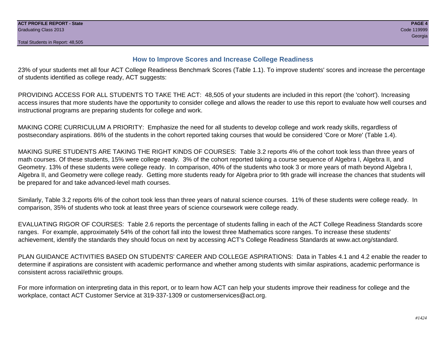#### **How to Improve Scores and Increase College Readiness**

23% of your students met all four ACT College Readiness Benchmark Scores (Table 1.1). To improve students' scores and increase the percentage of students identified as college ready, ACT suggests:

PROVIDING ACCESS FOR ALL STUDENTS TO TAKE THE ACT: 48,505 of your students are included in this report (the 'cohort'). Increasing access insures that more students have the opportunity to consider college and allows the reader to use this report to evaluate how well courses and instructional programs are preparing students for college and work.

MAKING CORE CURRICULUM A PRIORITY: Emphasize the need for all students to develop college and work ready skills, regardless of postsecondary aspirations. 86% of the students in the cohort reported taking courses that would be considered 'Core or More' (Table 1.4).

MAKING SURE STUDENTS ARE TAKING THE RIGHT KINDS OF COURSES: Table 3.2 reports 4% of the cohort took less than three years of math courses. Of these students, 15% were college ready. 3% of the cohort reported taking a course sequence of Algebra I, Algebra II, and Geometry. 13% of these students were college ready. In comparison, 40% of the students who took 3 or more years of math beyond Algebra I, Algebra II, and Geometry were college ready. Getting more students ready for Algebra prior to 9th grade will increase the chances that students will be prepared for and take advanced-level math courses.

Similarly, Table 3.2 reports 6% of the cohort took less than three years of natural science courses. 11% of these students were college ready. In comparison, 35% of students who took at least three years of science coursework were college ready.

EVALUATING RIGOR OF COURSES: Table 2.6 reports the percentage of students falling in each of the ACT College Readiness Standards score ranges. For example, approximately 54% of the cohort fall into the lowest three Mathematics score ranges. To increase these students' achievement, identify the standards they should focus on next by accessing ACT's College Readiness Standards at www.act.org/standard.

PLAN GUIDANCE ACTIVITIES BASED ON STUDENTS' CAREER AND COLLEGE ASPIRATIONS: Data in Tables 4.1 and 4.2 enable the reader to determine if aspirations are consistent with academic performance and whether among students with similar aspirations, academic performance is consistent across racial/ethnic groups.

For more information on interpreting data in this report, or to learn how ACT can help your students improve their readiness for college and the workplace, contact ACT Customer Service at 319-337-1309 or customerservices@act.org.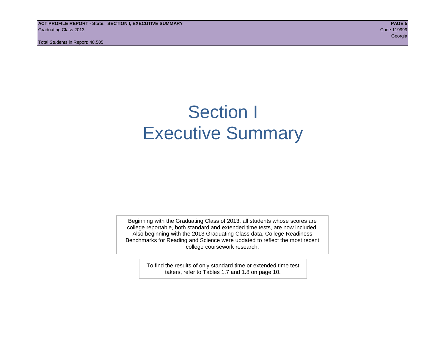**ACT PROFILE REPORT - State: SECTION I, EXECUTIVE SUMMARY PAGE 5** Graduating Class 2013 Code 119999

Total Students in Report: 48,505

en de la construction de la construction de la construction de la construction de la construction de la construction<br>Georgia

# Section I Executive Summary

Beginning with the Graduating Class of 2013, all students whose scores are college reportable, both standard and extended time tests, are now included. Also beginning with the 2013 Graduating Class data, College Readiness Benchmarks for Reading and Science were updated to reflect the most recent college coursework research.

> To find the results of only standard time or extended time test takers, refer to Tables 1.7 and 1.8 on page 10.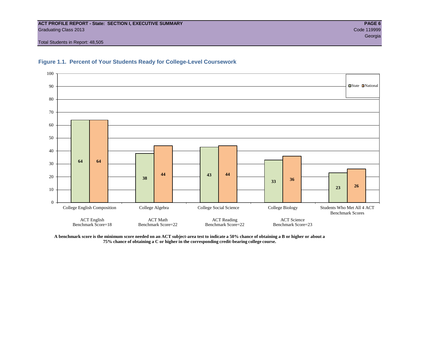#### **ACT PROFILE REPORT - State: SECTION I, EXECUTIVE SUMMARY PAGE 6** Graduating Class 2013 Code 119999

Total Students in Report: 48,505



#### **Figure 1.1. Percent of Your Students Ready for College-Level Coursework**

**A benchmark score is the minimum score needed on an ACT subject-area test to indicate a 50% chance of obtaining a B or higher or about a 75% chance of obtaining a C or higher in the corresponding credit-bearing college course.**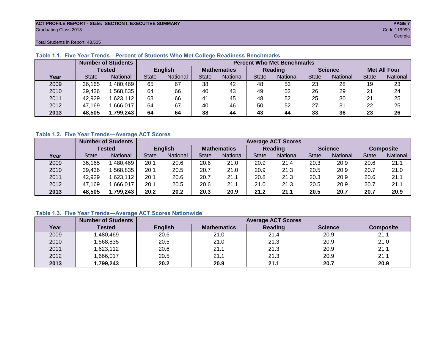#### **ACT PROFILE REPORT - State: SECTION I, EXECUTIVE SUMMARY PAGE 7** Graduating Class 2013 Code 119999

en de la construction de la construction de la construction de la construction de la construction de la constru

Total Students in Report: 48,505

|      |              | <b>Number of Students</b> | <b>Percent Who Met Benchmarks</b> |          |                    |                 |                |          |                |          |                     |          |  |  |
|------|--------------|---------------------------|-----------------------------------|----------|--------------------|-----------------|----------------|----------|----------------|----------|---------------------|----------|--|--|
|      |              | <b>Tested</b>             | <b>English</b>                    |          | <b>Mathematics</b> |                 | <b>Reading</b> |          | <b>Science</b> |          | <b>Met All Four</b> |          |  |  |
| Year | <b>State</b> | <b>National</b>           | <b>State</b>                      | National |                    | <b>National</b> | <b>State</b>   | National |                | National | <b>State</b>        | National |  |  |
| 2009 | 36,165       | ,480,469                  | 65                                | 67       | 38                 | 42              | 48             | 53       | 23             | 28       | 19                  | 23       |  |  |
| 2010 | 39,436       | .568.835                  | 64                                | 66       | 40                 | 43              | 49             | 52       | 26             | 29       | 21                  | 24       |  |  |
| 2011 | 42,929       | ,623,112                  | 63                                | 66       | 41                 | 45              | 48             | 52       | 25             | 30       | 21                  | 25       |  |  |
| 2012 | 47,169       | .666,017                  | 64                                | 67       | 40                 | 46              | 50             | 52       | 27             | 31       | 22                  | 25       |  |  |
| 2013 | 48,505       | 1,799,243                 | 64                                | 64       |                    | 44              | 43<br>44       |          | 33             | 36       | 23                  | 26       |  |  |

#### **Table 1.1. Five Year Trends—Percent of Students Who Met College Readiness Benchmarks**

#### **Table 1.2. Five Year Trends—Average ACT Scores**

|      |              | <b>Number of Students</b> |              | <b>Average ACT Scores</b> |                    |                 |                |                 |                |          |                  |          |  |  |
|------|--------------|---------------------------|--------------|---------------------------|--------------------|-----------------|----------------|-----------------|----------------|----------|------------------|----------|--|--|
|      |              | Tested                    |              | <b>English</b>            | <b>Mathematics</b> |                 | <b>Reading</b> |                 | <b>Science</b> |          | <b>Composite</b> |          |  |  |
| Year | <b>State</b> | <b>National</b>           | <b>State</b> | National                  |                    | <b>National</b> | <b>State</b>   | <b>National</b> | <b>State</b>   | National | <b>State</b>     | National |  |  |
| 2009 | 36,165       | ,480,469                  | 20.1         | 20.6                      | 20.6               | 21.0            | 20.9           | 21.4            | 20.3           | 20.9     | 20.6             | 21.1     |  |  |
| 2010 | 39,436       | .568.835                  | 20.1         | 20.5                      | 20.7               | 21.0            | 20.9           | 21.3            | 20.5           | 20.9     | 20.7             | 21.0     |  |  |
| 2011 | 42,929       | .623,112                  | 20.1         | 20.6                      | 20.7               | 21.1            | 20.8           | 21.3            | 20.3           | 20.9     | 20.6             | 21.1     |  |  |
| 2012 | 47,169       | .666,017                  | 20.1         | 20.5                      | 20.6               | 21.1            | 21.0           | 21.3            | 20.5           | 20.9     | 20.7             | 21.1     |  |  |
| 2013 | 48,505       | .799.243                  | 20.2         | 20.2                      | 20.3               | 20.9            | 21.2           | 21.1            | 20.5           | 20.7     | 20.7             | 20.9     |  |  |

#### **Table 1.3. Five Year Trends—Average ACT Scores Nationwide**

|      | <b>Number of Students</b> |                | <b>Average ACT Scores</b> |         |                |                  |  |  |  |  |  |  |
|------|---------------------------|----------------|---------------------------|---------|----------------|------------------|--|--|--|--|--|--|
| Year | Tested                    | <b>English</b> | <b>Mathematics</b>        | Reading | <b>Science</b> | <b>Composite</b> |  |  |  |  |  |  |
| 2009 | ,480,469                  | 20.6           | 21.0                      | 21.4    | 20.9           | 21.1             |  |  |  |  |  |  |
| 2010 | ,568,835                  | 20.5           | 21.0                      | 21.3    | 20.9           | 21.0             |  |  |  |  |  |  |
| 2011 | ,623,112                  | 20.6           | 21.1                      | 21.3    | 20.9           | 21.1             |  |  |  |  |  |  |
| 2012 | ,666,017                  | 20.5           | 21.1                      | 21.3    | 20.9           | 21.1             |  |  |  |  |  |  |
| 2013 | 1,799,243                 | 20.2           | 20.9                      | 21.1    | 20.7           | 20.9             |  |  |  |  |  |  |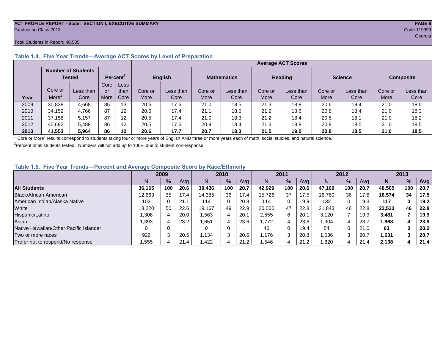#### **ACT PROFILE REPORT - State: SECTION I, EXECUTIVE SUMMARY PAGE 8** Graduating Class 2013 Code 119999

#### Total Students in Report: 48,505

|      |         | <b>Number of Students</b><br>Tested |      | Percent <sup>2</sup> |             | <b>English</b> |         | <b>Mathematics</b> |         | <b>Reading</b> |         | <b>Science</b> | <b>Composite</b> |           |
|------|---------|-------------------------------------|------|----------------------|-------------|----------------|---------|--------------------|---------|----------------|---------|----------------|------------------|-----------|
|      |         |                                     | Core | Less                 |             |                |         |                    |         |                |         |                |                  |           |
|      | Core or | Less than                           | or   | than                 | Core or     | Less than      | Core or | Less than          | Core or | Less than      | Core or | Less than      | Core or          | Less than |
| Year | More    | Core                                | More | Core                 | <b>More</b> | Core           | More    | Core               | More    | Core           | More    | Core           | More             | Core      |
| 2009 | 30,839  | 4,668                               | 85   | 13                   | 20.6        | 17.6           | 21.0    | 18.5               | 21.3    | 18.8           | 20.6    | 18.4           | 21.0             | 18.5      |
| 2010 | 34,152  | 4.766                               | 87   | 12                   | 20.6        | 17.4           | 21.1    | 18.5               | 21.2    | 18.6           | 20.8    | 18.4           | 21.0             | 18.3      |
| 2011 | 37,158  | 5,157                               | 87   | 12                   | 20.5        | 17.4           | 21.0    | 18.3               | 21.2    | 18.4           | 20.6    | 18.1           | 21.0             | 18.2      |
| 2012 | 40,692  | 5.488                               | 86   | 12                   | 20.5        | 17.6           | 20.9    | 18.4               | 21.3    | 18.8           | 20.8    | 18.5           | 21.0             | 18.5      |
| 2013 | 41,553  | 5.964                               | 86   | 12                   | 20.6        | 17.7           | 20.7    | 18.3               | 21.5    | 19.0           | 20.8    | 18.5           | 21.0             | 18.5      |

#### **Table 1.4. Five Year Trends—Average ACT Scores by Level of Preparation**

<sup>1</sup>"Core or More" results correspond to students taking four or more years of English AND three or more years each of math, social studies, and natural science.

 $2$ Percent of all students tested. Numbers will not add up to 100% due to student non-response.

#### **Table 1.5. Five Year Trends—Percent and Average Composite Score by Race/Ethnicity**

|                                        | 2009   |      |      | 2010   |               |      | 2011   |      |      | 2012   |     |      | 2013   |     |                   |
|----------------------------------------|--------|------|------|--------|---------------|------|--------|------|------|--------|-----|------|--------|-----|-------------------|
|                                        |        | $\%$ | Avg  | N      | $\frac{9}{6}$ | Ava  | N      | $\%$ | Avg  | N      | %   | Ava  | N      | %   | Avg               |
| <b>All Students</b>                    | 36.165 | 100  | 20.6 | 39.436 | 100           | 20.7 | 42.929 | 100  | 20.6 | 47.169 | 100 | 20.7 | 48.505 | 100 | 20.7              |
| <b>Black/African American</b>          | 12.663 | 35   | 17.4 | 14,385 | 36            | 17.4 | 15,726 | 37   | 17.5 | 16.760 | 36  | 17.6 | 16.574 | 34  | 17.5              |
| American Indian/Alaska Native          | 102    |      | 21.1 | 114    | 0             | 20.8 | 114    | 0    | 19.9 | 132    | 0   | 19.3 | 117    | 0   | 19.2              |
| White                                  | 18.220 | 50   | 22.6 | 19.167 | 49            | 22.9 | 20,000 | 47   | 22.8 | 21.843 | 46  | 22.8 | 22.533 | 46  | 22.8              |
| Hispanic/Latino                        | .306   |      | 20.0 | 1,563  | 4             | 20.1 | 2,555  | 6    | 20.7 | 3.120  |     | 19.9 | 3,481  |     | 19.9 <sub>1</sub> |
| Asian                                  | .393   |      | 23.2 | .651   | 4             | 23.6 | 1.772  | 4    | 23.6 | .904   | 4   | 23.7 | 968, ا |     | 23.9              |
| Native Hawaiian/Other Pacific Islander |        |      |      | 0      | 0             |      | 40     | 0    | 19.4 | 54     |     | 21.0 | 63     | 0   | 20.2              |
| Two or more races                      | 926    |      | 20.5 | .134   | 3             | 20.6 | 1.176  | 3    | 20.8 | .536   |     | 20.7 | 1,631  |     | 20.7              |
| Prefer not to respond/No response      | .555   | 4    | 21.4 | 422. ا | 4             | 21.2 | .546   | 4    | 21.2 | ,820   | 4   | 21.4 | 2,138  |     | 21.4              |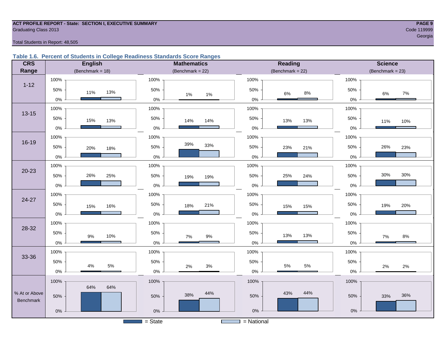#### **ACT PROFILE REPORT - State: SECTION I, EXECUTIVE SUMMARY PAGE 9 Graduating Class 2013** Code 119999

en de la construction de la construction de la construction de la construction de la construction de la construction de la construction de la construction de la construction de la construction de la construction de la cons

Total Students in Report: 48,505

#### **Table 1.6. Percent of Students in College Readiness Standards Score Ranges**

| <b>CRS</b>    | <b>English</b>      | <b>Mathematics</b>                    | Reading             | <b>Science</b>     |
|---------------|---------------------|---------------------------------------|---------------------|--------------------|
| Range         | (Benchmark = $18$ ) | (Benchmark = $22$ )                   | (Benchmark = $22$ ) | $(Benchmark = 23)$ |
|               | 100%                | 100%                                  | 100%                | 100%               |
| $1 - 12$      | 50%<br>13%<br>11%   | 50%<br>$1\%$<br>$1\%$                 | 50%<br>8%<br>6%     | 50%<br>$7\%$<br>6% |
|               | $0\%$               | $0\%$                                 | $0\%$               | $0\%$              |
| $13 - 15$     | 100%                | 100%                                  | 100%                | 100%               |
|               | 50%<br>15%<br>13%   | 50%<br>14%<br>14%                     | 50%<br>13%<br>13%   | 50%<br>11%<br>10%  |
|               | $0\%$               | 0%                                    | $0\%$               | $0\%$              |
|               | 100%                | 100%                                  | 100%                | 100%               |
| $16 - 19$     | 50%<br>20%<br>18%   | 39%<br>33%<br>50%                     | 50%<br>23%<br>21%   | 26%<br>50%<br>23%  |
|               | $0\%$               | 0%                                    | $0\%$               | $0\%$              |
|               | 100%                | 100%                                  | 100%                | 100%               |
| $20 - 23$     | 50%<br>26%<br>25%   | 50%<br>19%<br>19%                     | 50%<br>25%<br>24%   | 30%<br>30%<br>50%  |
|               | $0\%$               | 0%                                    | $0\%$               | $0\%$              |
|               | 100%                | 100%                                  | 100%                | 100%               |
| 24-27         | 50%<br>16%<br>15%   | 50%<br>21%<br>18%                     | 50%<br>15%<br>15%   | 50%<br>20%<br>19%  |
|               | $0\%$               | 0%                                    | $0\%$               | 0%                 |
| 28-32         | 100%                | 100%                                  | 100%                | 100%               |
|               | 50%<br>$9\%$<br>10% | 50%<br>$9\%$<br>7%                    | 50%<br>13%<br>13%   | 50%<br>$8\%$<br>7% |
|               | $0\%$               | 0%                                    | $0\%$               | $0\%$              |
|               | 100%                | 100%                                  | 100%                | 100%               |
| 33-36         | 50%                 | 50%                                   | 50%                 | 50%                |
|               | 5%<br>4%<br>$0\%$   | $3%$<br>2%<br>$0\%$                   | 5%<br>5%<br>$0\%$   | 2%<br>2%<br>0%     |
|               | 100%                | 100%                                  | 100%                | 100%               |
| % At or Above | 64%<br>64%          | 44%                                   | 44%<br>43%          |                    |
| Benchmark     | 50%                 | 38%<br>50%                            | 50%                 | 36%<br>50%<br>33%  |
|               | $0\%$               | 0%                                    | $0\%$               | $0\%$              |
|               |                     | $=$ State<br><b>Contract Contract</b> | $=$ National        |                    |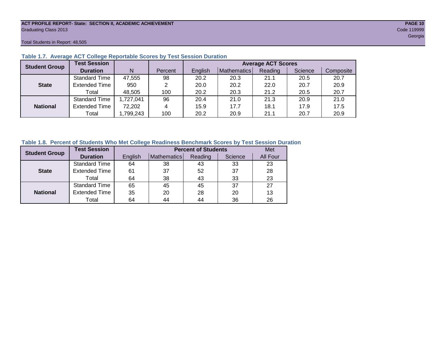### **ACT PROFILE REPORT- State: SECTION II, ACADEMIC ACHIEVEMENT PAGE 10** Graduating Class 2013 Code 119999

Total Students in Report: 48,505

| <b>Student Group</b> | <b>Test Session</b>  |           |         | <b>Average ACT Scores</b> |             |         |         |           |  |  |  |  |  |
|----------------------|----------------------|-----------|---------|---------------------------|-------------|---------|---------|-----------|--|--|--|--|--|
|                      | <b>Duration</b>      | N         | Percent | English                   | Mathematics | Reading | Science | Composite |  |  |  |  |  |
|                      | Standard Time        | 47,555    | 98      | 20.2                      | 20.3        | 21.1    | 20.5    | 20.7      |  |  |  |  |  |
| <b>State</b>         | <b>Extended Time</b> | 950       | 2       | 20.0                      | 20.2        | 22.0    | 20.7    | 20.9      |  |  |  |  |  |
|                      | Total                | 48.505    | 100     | 20.2                      | 20.3        | 21.2    | 20.5    | 20.7      |  |  |  |  |  |
|                      | <b>Standard Time</b> | 1,727,041 | 96      | 20.4                      | 21.0        | 21.3    | 20.9    | 21.0      |  |  |  |  |  |
| <b>National</b>      | <b>Extended Time</b> | 72,202    | 4       | 15.9                      | 17.7        | 18.1    | 17.9    | 17.5      |  |  |  |  |  |
|                      | Total                | ,799,243  | 100     | 20.2                      | 20.9        | 21.1    | 20.7    | 20.9      |  |  |  |  |  |

#### **Table 1.7. Average ACT College Reportable Scores by Test Session Duration**

#### **Table 1.8. Percent of Students Who Met College Readiness Benchmark Scores by Test Session Duration**

| <b>Student Group</b> | <b>Test Session</b>  |         | <b>Percent of Students</b> | Met     |         |          |
|----------------------|----------------------|---------|----------------------------|---------|---------|----------|
|                      | <b>Duration</b>      | English | Mathematics                | Reading | Science | All Four |
|                      | <b>Standard Time</b> | 64      | 38                         | 43      | 33      | 23       |
| <b>State</b>         | <b>Extended Time</b> | 61      | 37                         | 52      | 37      | 28       |
|                      | Total                | 64      | 38                         | 43      | 33      | 23       |
|                      | <b>Standard Time</b> | 65      | 45                         | 45      | 37      | 27       |
| <b>National</b>      | <b>Extended Time</b> | 35      | 20                         | 28      | 20      | 13       |
|                      | Total                | 64      | 44                         | 44      | 36      | 26       |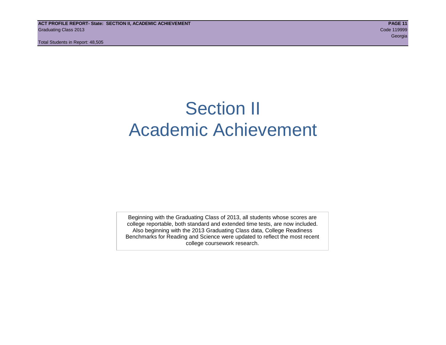# Section II Academic Achievement

Beginning with the Graduating Class of 2013, all students whose scores are college reportable, both standard and extended time tests, are now included. Also beginning with the 2013 Graduating Class data, College Readiness Benchmarks for Reading and Science were updated to reflect the most recent college coursework research.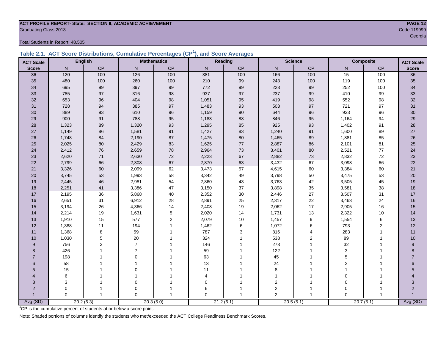### **ACT PROFILE REPORT- State: SECTION II, ACADEMIC ACHIEVEMENT PAGE 12** Graduating Class 2013 Code 119999

Total Students in Report: 48,505

|  | Table 2.1. ACT Score Distributions, Cumulative Percentages (CP <sup>1</sup> ), and Score Averages |  |  |  |
|--|---------------------------------------------------------------------------------------------------|--|--|--|
|  |                                                                                                   |  |  |  |

| <b>ACT Scale</b> |          | <b>English</b> |                | <b>Mathematics</b> |                | <b>Reading</b> | <b>Science</b> |                |                | <b>Composite</b> | <b>ACT Scale</b> |
|------------------|----------|----------------|----------------|--------------------|----------------|----------------|----------------|----------------|----------------|------------------|------------------|
| <b>Score</b>     | N        | CP             | $\mathsf{N}$   | $\mathsf{CP}$      | N              | CP             | $\mathsf{N}$   | CP             | N.             | $\mathsf{CP}$    | <b>Score</b>     |
| 36               | 120      | 100            | 126            | 100                | 381            | 100            | 166            | 100            | 15             | 100              | $\overline{36}$  |
| 35               | 480      | 100            | 260            | 100                | 210            | 99             | 243            | 100            | 119            | 100              | 35               |
| 34               | 695      | 99             | 397            | 99                 | 772            | 99             | 223            | 99             | 252            | 100              | 34               |
| 33               | 785      | 97             | 316            | 98                 | 937            | 97             | 237            | 99             | 410            | 99               | 33               |
| 32               | 653      | 96             | 404            | 98                 | 1,051          | 95             | 419            | 98             | 552            | 98               | 32               |
| 31               | 728      | 94             | 385            | 97                 | 1,483          | 93             | 503            | 97             | 721            | 97               | 31               |
| 30               | 889      | 93             | 610            | 96                 | 1,159          | 90             | 644            | 96             | 933            | 96               | 30               |
| 29               | 900      | 91             | 788            | 95                 | 1,183          | 88             | 846            | 95             | 1,164          | 94               | 29               |
| 28               | 1,323    | 89             | 1,320          | 93                 | 1,295          | 85             | 925            | 93             | 1,402          | 91               | 28               |
| 27               | 1,149    | 86             | 1,581          | 91                 | 1,427          | 83             | 1,240          | 91             | 1,600          | 89               | $27\,$           |
| 26               | 1,748    | 84             | 2,190          | 87                 | 1,475          | 80             | 1,465          | 89             | 1,881          | 85               | $26\,$           |
| 25               | 2,025    | 80             | 2,429          | 83                 | 1,625          | 77             | 2,887          | 86             | 2,101          | 81               | 25               |
| 24               | 2,412    | 76             | 2,659          | 78                 | 2,964          | 73             | 3,401          | 80             | 2,521          | 77               | 24               |
| 23               | 2,620    | $71$           | 2,630          | 72                 | 2,223          | 67             | 2,882          | $73\,$         | 2,832          | 72               | 23               |
| 22               | 2,799    | 66             | 2,308          | 67                 | 2,870          | 63             | 3,432          | 67             | 3,098          | 66               | 22               |
| 21               | 3,326    | 60             | 2,099          | 62                 | 3,473          | 57             | 4,615          | 60             | 3,384          | 60               | 21               |
| 20               | 3,745    | 53             | 1,993          | 58                 | 3,342          | 49             | 3,798          | 50             | 3,475          | 53               | 20               |
| 19               | 2,445    | 46             | 2,981          | 54                 | 2,860          | 43             | 3,763          | 42             | 3,505          | 45               | 19               |
| 18               | 2,251    | 41             | 3,386          | 47                 | 3,150          | 37             | 3,898          | 35             | 3,581          | 38               | 18               |
| 17               | 2,195    | 36             | 5,868          | 40                 | 2,352          | 30             | 2,446          | 27             | 3,507          | 31               | 17               |
| 16               | 2,651    | 31             | 6,912          | 28                 | 2,891          | 25             | 2,317          | 22             | 3,463          | 24               | 16               |
| 15               | 3,194    | 26             | 4,366          | 14                 | 2,408          | 19             | 2,062          | 17             | 2,905          | 16               | 15               |
| 14               | 2,214    | 19             | 1,631          | $\,$ 5 $\,$        | 2,020          | 14             | 1,731          | 13             | 2,322          | 10               | 14               |
| 13               | 1,910    | 15             | 577            | 2                  | 2,079          | 10             | 1,457          | 9              | 1,554          | 6                | 13               |
| 12               | 1,388    | 11             | 194            | $\overline{1}$     | 1,462          | 6              | 1,072          | 6              | 793            | $\boldsymbol{2}$ | 12               |
| 11               | 1,368    | 8              | 59             |                    | 787            | 3              | 816            | 4              | 283            | 1                | 11               |
| 10               | 1,030    | 5              | 20             |                    | 324            | 1              | 538            | $\overline{2}$ | 89             | 1                | 10               |
| 9                | 756      | 3              | $\overline{7}$ |                    | 146            |                | 273            | 1              | 32             |                  | 9                |
| 8                | 426      |                | $\overline{7}$ |                    | 59             |                | 122            |                | $\mathbf{3}$   |                  | 8                |
| $\overline{7}$   | 198      |                | $\Omega$       |                    | 63             |                | 45             |                | 5              |                  | $\overline{7}$   |
| 6                | 58       |                |                |                    | 13             |                | 24             |                | $\mathbf{2}$   |                  | 6                |
| 5                | 15       |                | $\mathbf 0$    |                    | 11             |                | 8              |                | $\overline{1}$ |                  | 5                |
| 4                | 6        |                | -1             |                    | $\overline{4}$ |                | $\mathbf{1}$   |                | $\Omega$       |                  |                  |
| 3                | 3        |                | $\mathbf 0$    |                    | $\Omega$       |                | $\mathbf 2$    |                | $\mathbf 0$    |                  | 3                |
| $\overline{2}$   | 0        |                | 0              |                    | 6              |                | $\overline{2}$ | 1              | $\Omega$       |                  | $\overline{2}$   |
|                  | $\Omega$ | 1              | $\Omega$       | -1                 | $\Omega$       | 1              | $\overline{2}$ | 1              | $\Omega$       | $\overline{1}$   |                  |
| Avg (SD)         |          | 20.2(6.3)      |                | 20.3(5.0)          |                | 21.2(6.1)      |                | 20.5(5.1)      | 20.7(5.1)      |                  | Avg (SD)         |

<sup>1</sup>CP is the cumulative percent of students at or below a score point.

Note: Shaded portions of columns identify the students who met/exceeded the ACT College Readiness Benchmark Scores.

en de la construction de la construction de la construction de la construction de la construction de la constru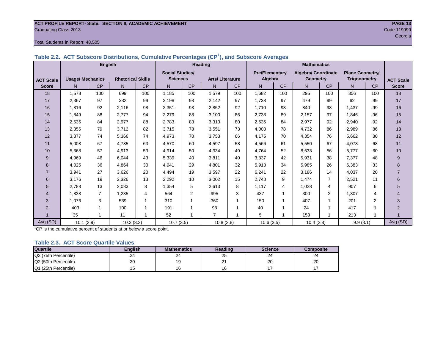#### **ACT PROFILE REPORT- State: SECTION II, ACADEMIC ACHIEVEMENT PAGE 13** Graduating Class 2013 Code 119999

#### Total Students in Report: 48,505

|                  |                         |                |                          |     | Table 2.2. ACT Subscript Distributions, Cumulative Percentages (CPT), and Subscript Averages |                |                        |                |                       |     |                     |                |                        |     |                  |
|------------------|-------------------------|----------------|--------------------------|-----|----------------------------------------------------------------------------------------------|----------------|------------------------|----------------|-----------------------|-----|---------------------|----------------|------------------------|-----|------------------|
|                  |                         | <b>English</b> |                          |     |                                                                                              |                | Reading                |                |                       |     | <b>Mathematics</b>  |                |                        |     |                  |
|                  |                         |                |                          |     | <b>Social Studies/</b>                                                                       |                |                        |                | <b>Pre/Elementary</b> |     | Algebra/ Coordinate |                | <b>Plane Geometry/</b> |     |                  |
| <b>ACT Scale</b> | <b>Usage/ Mechanics</b> |                | <b>Rhetorical Skills</b> |     | <b>Sciences</b>                                                                              |                | <b>Arts/Literature</b> |                | Algebra               |     | <b>Geometry</b>     |                | <b>Trigonometry</b>    |     | <b>ACT Scale</b> |
| <b>Score</b>     | N.                      | <b>CP</b>      | N                        | CP  | N                                                                                            | <b>CP</b>      | N.                     | <b>CP</b>      | N.                    | CP  | N.                  | <b>CP</b>      | N.                     | CP  | <b>Score</b>     |
| 18               | 1,578                   | 100            | 699                      | 100 | 1.185                                                                                        | 100            | 1,579                  | 100            | 1,682                 | 100 | 295                 | 100            | 356                    | 100 | 18               |
| 17               | 2,367                   | 97             | 332                      | 99  | 2,198                                                                                        | 98             | 2,142                  | 97             | 1,738                 | 97  | 479                 | 99             | 62                     | 99  | 17               |
| 16               | 1,816                   | 92             | 2,116                    | 98  | 2,351                                                                                        | 93             | 2,852                  | 92             | 1,710                 | 93  | 840                 | 98             | 1,437                  | 99  | 16               |
| 15               | 1.849                   | 88             | 2.777                    | 94  | 2,279                                                                                        | 88             | 3.100                  | 86             | 2.738                 | 89  | 2.157               | 97             | 1.846                  | 96  | 15               |
| 14               | 2,536                   | 84             | 2,977                    | 88  | 2,783                                                                                        | 83             | 3,313                  | 80             | 2,636                 | 84  | 2,977               | 92             | 2,940                  | 92  | 14               |
| 13               | 2,355                   | 79             | 3,712                    | 82  | 3,715                                                                                        | 78             | 3,551                  | 73             | 4,008                 | 78  | 4,732               | 86             | 2,989                  | 86  | 13               |
| 12               | 3,377                   | 74             | 5,366                    | 74  | 4,973                                                                                        | 70             | 3,753                  | 66             | 4,175                 | 70  | 4,354               | 76             | 5,662                  | 80  | 12               |
| 11               | 5,008                   | 67             | 4,785                    | 63  | 4,570                                                                                        | 60             | 4,597                  | 58             | 4,566                 | 61  | 5,550               | 67             | 4,073                  | 68  | 11               |
| 10               | 5.368                   | 57             | 4,913                    | 53  | 4,914                                                                                        | 50             | 4.334                  | 49             | 4.764                 | 52  | 8,633               | 56             | 5.777                  | 60  | 10               |
| 9                | 4,969                   | 46             | 6,044                    | 43  | 5,339                                                                                        | 40             | 3,811                  | 40             | 3,837                 | 42  | 5,931               | 38             | 7.377                  | 48  | 9                |
| 8                | 4,025                   | 36             | 4,864                    | 30  | 4,941                                                                                        | 29             | 4,801                  | 32             | 5,913                 | 34  | 5,985               | 26             | 6,383                  | 33  | 8                |
| $\overline{7}$   | 3,941                   | 27             | 3,626                    | 20  | 4,494                                                                                        | 19             | 3,597                  | 22             | 6,241                 | 22  | 3,186               | 14             | 4,037                  | 20  | $\overline{7}$   |
| 6                | 3,176                   | 19             | 2,326                    | 13  | 2,292                                                                                        | 10             | 3,002                  | 15             | 2,748                 | 9   | 1,474               | 7              | 2,521                  | 11  | 6                |
| 5                | 2.788                   | 13             | 2,083                    | 8   | 1,354                                                                                        | 5              | 2,613                  | 8              | 1,117                 | 4   | 1,028               | 4              | 907                    | 6   | 5                |
| 4                | 1,838                   | 7              | 1,235                    | 4   | 564                                                                                          | $\overline{2}$ | 995                    | 3              | 437                   |     | 300                 | $\overline{2}$ | 1,307                  | 4   | 4                |
| 3                | 1,076                   | 3              | 539                      | 1   | 310                                                                                          |                | 360                    | 1              | 150                   |     | 407                 |                | 201                    | 2   | 3                |
| $\overline{2}$   | 403                     |                | 100                      |     | 191                                                                                          |                | 98                     | 1              | 40                    |     | 24                  |                | 417                    |     | $\overline{2}$   |
|                  | 35                      |                | 11                       |     | 52                                                                                           |                | $\overline{7}$         | $\overline{ }$ | 5                     |     | 153                 |                | 213                    |     |                  |
| Avg (SD)         | 10.1(3.9)               |                | 10.3(3.3)                |     | 10.7(3.5)                                                                                    |                | 10.8(3.8)              |                | 10.6(3.5)             |     | 10.4(2.8)           |                | 9.9(3.1)               |     | Avg (SD)         |

#### **Table 2.2. ACT Subscore Distributions, Cumulative Percentages (CP<sup>1</sup> ), and Subscore Averages**

<sup>1</sup>CP is the cumulative percent of students at or below a score point.

#### **Table 2.3. ACT Score Quartile Values**

| <b>Quartile</b>      | Enalish | <b>Mathematics</b> | Reading        | <b>Science</b> | Composite |
|----------------------|---------|--------------------|----------------|----------------|-----------|
| Q3 (75th Percentile) | 24      | 24                 | $\sim$<br>∠IJ  | 24             | 24        |
| Q2 (50th Percentile) | 20      |                    | n.<br><u>.</u> | 20             | 20        |
| Q1 (25th Percentile) |         |                    |                |                |           |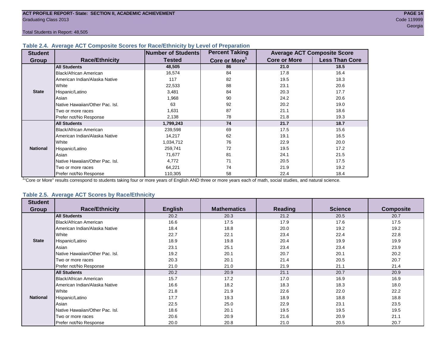#### **Table 2.4. Average ACT Composite Scores for Race/Ethnicity by Level of Preparation**

| <b>Student</b>  |                                 | <b>Number of Students</b> | <b>Percent Taking</b>     |                     | <b>Average ACT Composite Score</b> |
|-----------------|---------------------------------|---------------------------|---------------------------|---------------------|------------------------------------|
| <b>Group</b>    | <b>Race/Ethnicity</b>           | <b>Tested</b>             | Core or More <sup>1</sup> | <b>Core or More</b> | <b>Less Than Core</b>              |
|                 | <b>All Students</b>             | 48,505                    | 86                        | 21.0                | 18.5                               |
|                 | Black/African American          | 16,574                    | 84                        | 17.8                | 16.4                               |
|                 | American Indian/Alaska Native   | 117                       | 82                        | 19.5                | 18.3                               |
|                 | White                           | 22,533                    | 88                        | 23.1                | 20.6                               |
| <b>State</b>    | Hispanic/Latino                 | 3,481                     | 84                        | 20.3                | 17.7                               |
|                 | Asian                           | 1,968                     | 90                        | 24.2                | 20.6                               |
|                 | Native Hawaiian/Other Pac. Isl. | 63                        | 92                        | 20.2                | 19.0                               |
|                 | I Two or more races             | 1,631                     | 87                        | 21.1                | 18.6                               |
|                 | Prefer not/No Response          | 2,138                     | 78                        | 21.8                | 19.3                               |
|                 | <b>All Students</b>             | 1,799,243                 | 74                        | 21.7                | 18.7                               |
|                 | Black/African American          | 239,598                   | 69                        | 17.5                | 15.6                               |
|                 | American Indian/Alaska Native   | 14,217                    | 62                        | 19.1                | 16.5                               |
|                 | <b>White</b>                    | 1,034,712                 | 76                        | 22.9                | 20.0                               |
| <b>National</b> | Hispanic/Latino                 | 259,741                   | 72                        | 19.5                | 17.2                               |
|                 | Asian                           | 71,677                    | 81                        | 24.1                | 21.5                               |
|                 | Native Hawaiian/Other Pac. Isl. | 4,772                     | 71                        | 20.5                | 17.5                               |
|                 | Two or more races               | 64,221                    | 74                        | 21.9                | 19.2                               |
|                 | Prefer not/No Response          | 110,305                   | 58                        | 22.4                | 18.4                               |

<sup>1</sup>"Core or More" results correspond to students taking four or more years of English AND three or more years each of math, social studies, and natural science.

#### **Table 2.5. Average ACT Scores by Race/Ethnicity**

| <b>Student</b>  |                                 |                |                    |                |                |                  |
|-----------------|---------------------------------|----------------|--------------------|----------------|----------------|------------------|
| Group           | <b>Race/Ethnicity</b>           | <b>English</b> | <b>Mathematics</b> | <b>Reading</b> | <b>Science</b> | <b>Composite</b> |
|                 | <b>All Students</b>             | 20.2           | 20.3               | 21.2           | 20.5           | 20.7             |
|                 | Black/African American          | 16.6           | 17.5               | 17.9           | 17.6           | 17.5             |
|                 | American Indian/Alaska Native   | 18.4           | 18.8               | 20.0           | 19.2           | 19.2             |
|                 | White                           | 22.7           | 22.1               | 23.4           | 22.4           | 22.8             |
| <b>State</b>    | Hispanic/Latino                 | 18.9           | 19.8               | 20.4           | 19.9           | 19.9             |
|                 | Asian                           | 23.1           | 25.1               | 23.4           | 23.4           | 23.9             |
|                 | Native Hawaiian/Other Pac. Isl. | 19.2           | 20.1               | 20.7           | 20.1           | 20.2             |
|                 | Two or more races               | 20.3           | 20.1               | 21.4           | 20.5           | 20.7             |
|                 | Prefer not/No Response          | 21.0           | 21.0               | 21.9           | 21.1           | 21.4             |
|                 | <b>All Students</b>             | 20.2           | 20.9               | 21.1           | 20.7           | 20.9             |
|                 | Black/African American          | 15.7           | 17.2               | 17.0           | 16.9           | 16.9             |
|                 | American Indian/Alaska Native   | 16.6           | 18.2               | 18.3           | 18.3           | 18.0             |
|                 | White                           | 21.8           | 21.9               | 22.6           | 22.0           | 22.2             |
| <b>National</b> | Hispanic/Latino                 | 17.7           | 19.3               | 18.9           | 18.8           | 18.8             |
|                 | Asian                           | 22.5           | 25.0               | 22.9           | 23.1           | 23.5             |
|                 | Native Hawaiian/Other Pac. Isl. | 18.6           | 20.1               | 19.5           | 19.5           | 19.5             |
|                 | Two or more races               | 20.6           | 20.9               | 21.6           | 20.9           | 21.1             |
|                 | Prefer not/No Response          | 20.0           | 20.8               | 21.0           | 20.5           | 20.7             |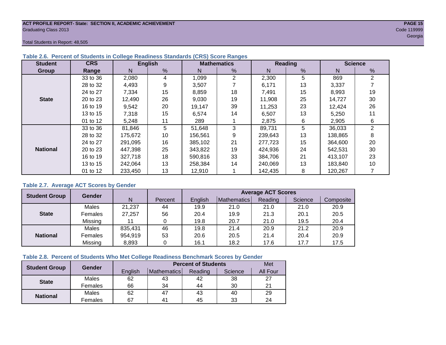#### **ACT PROFILE REPORT- State: SECTION II, ACADEMIC ACHIEVEMENT PAGE 15** Graduating Class 2013 Code 119999

Total Students in Report: 48,505

| <b>Student</b>  | <b>CRS</b> |         | <b>English</b> |         | <b>Mathematics</b> |         | <b>Reading</b> | <b>Science</b> |                |  |
|-----------------|------------|---------|----------------|---------|--------------------|---------|----------------|----------------|----------------|--|
| <b>Group</b>    | Range      | Ν       | $\frac{9}{6}$  | N       | %                  | N       | %              | N              | %              |  |
|                 | 33 to 36   | 2,080   | 4              | 1,099   | $\overline{2}$     | 2,300   | 5              | 869            | 2              |  |
|                 | 28 to 32   | 4,493   | 9              | 3,507   |                    | 6,171   | 13             | 3,337          |                |  |
|                 | 24 to 27   | 7,334   | 15             | 8,859   | 18                 | 7,491   | 15             | 8,993          | 19             |  |
| <b>State</b>    | 20 to 23   | 12,490  | 26             | 9,030   | 19                 | 11,908  | 25             | 14,727         | 30             |  |
|                 | 16 to 19   | 9,542   | 20             | 19,147  | 39                 | 11.253  | 23             | 12,424         | 26             |  |
|                 | 13 to 15   | 7,318   | 15             | 6,574   | 14                 | 6,507   | 13             | 5,250          | 11             |  |
|                 | 01 to 12   | 5,248   | 11             | 289     |                    | 2,875   | 6              | 2,905          | 6              |  |
|                 | 33 to 36   | 81,846  | 5              | 51,648  | 3                  | 89,731  | 5              | 36,033         | $\overline{2}$ |  |
|                 | 28 to 32   | 175,672 | 10             | 156,561 | 9                  | 239,643 | 13             | 138,865        | 8              |  |
|                 | 24 to 27   | 291,095 | 16             | 385,102 | 21                 | 277,723 | 15             | 364,600        | 20             |  |
| <b>National</b> | 20 to 23   | 447.398 | 25             | 343,822 | 19                 | 424,936 | 24             | 542,531        | 30             |  |
|                 | 16 to 19   | 327,718 | 18             | 590,816 | 33                 | 384.706 | 21             | 413,107        | 23             |  |
|                 | 13 to 15   | 242,064 | 13             | 258,384 | 14                 | 240,069 | 13             | 183,840        | 10             |  |
|                 | 01 to 12   | 233,450 | 13             | 12,910  |                    | 142,435 | 8              | 120,267        |                |  |

#### **Table 2.6. Percent of Students in College Readiness Standards (CRS) Score Ranges**

#### **Table 2.7. Average ACT Scores by Gender**

| <b>Student Group</b> | <b>Gender</b> |         |         | <b>Average ACT Scores</b> |             |         |         |           |  |  |  |
|----------------------|---------------|---------|---------|---------------------------|-------------|---------|---------|-----------|--|--|--|
|                      |               | N       | Percent | English                   | Mathematics | Reading | Science | Composite |  |  |  |
|                      | Males         | 21,237  | 44      | 19.9                      | 21.0        | 21.0    | 21.0    | 20.9      |  |  |  |
| <b>State</b>         | Females       | 27,257  | 56      | 20.4                      | 19.9        | 21.3    | 20.1    | 20.5      |  |  |  |
|                      | Missing       | 11      | 0       | 19.8                      | 20.7        | 21.0    | 19.5    | 20.4      |  |  |  |
|                      | Males         | 835,431 | 46      | 19.8                      | 21.4        | 20.9    | 21.2    | 20.9      |  |  |  |
| <b>National</b>      | Females       | 954,919 | 53      | 20.6                      | 20.5        | 21.4    | 20.4    | 20.9      |  |  |  |
|                      | Missing       | 8,893   | 0       | 16.1                      | 18.2        | 17.6    | 17.7    | 17.5      |  |  |  |

#### **Table 2.8. Percent of Students Who Met College Readiness Benchmark Scores by Gender**

| <b>Student Group</b> | Gender  |         | <b>Percent of Students</b> |         |         |                 |  |  |  |  |
|----------------------|---------|---------|----------------------------|---------|---------|-----------------|--|--|--|--|
|                      |         | English | <b>Mathematics</b>         | Reading | Science | <b>All Four</b> |  |  |  |  |
| <b>State</b>         | Males   | 62      | 43                         | 42      | 38      | 27              |  |  |  |  |
|                      | Females | 66      | 34                         | 44      | 30      | 21              |  |  |  |  |
| <b>National</b>      | Males   | 62      | 47                         | 43      | 40      | 29              |  |  |  |  |
|                      | Females | 67      | 4 <sup>1</sup>             | 45      | 33      | 24              |  |  |  |  |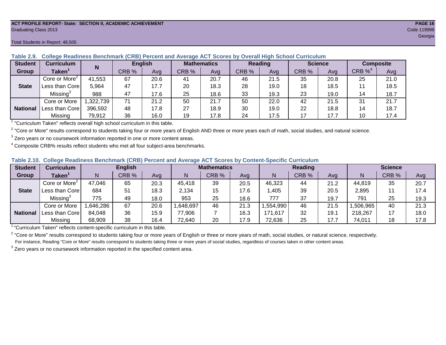#### **ACT PROFILE REPORT- State: SECTION II, ACADEMIC ACHIEVEMENT PAGE 16** Graduating Class 2013 Code 119999

#### Total Students in Report: 48,505

| <b>Student</b>  | <b>Curriculum</b>                       | N        | <b>English</b> |      | <b>Mathematics</b> |      | <b>Reading</b> |      |       | <b>Science</b> | <b>Composite</b> |      |
|-----------------|-----------------------------------------|----------|----------------|------|--------------------|------|----------------|------|-------|----------------|------------------|------|
| Group           | Taken $^{\scriptscriptstyle\mathsf{T}}$ |          | CRB %          | Avg  | CRB %              | Avg  | CRB %          | Avg  | CRB % | Ava            | $CRB\%4$         | Avg  |
|                 | Core or More <sup>2</sup>               | 41,553   | 67             | 20.6 | 41                 | 20.7 | 46             | 21.5 | 35    | 20.8           | 25               | 21.0 |
| <b>State</b>    | Less than Corel                         | 5,964    | 47             | 17.7 | 20                 | 18.3 | 28             | 19.0 | 18    | 18.5           |                  | 18.5 |
|                 | Missing <sup>3</sup>                    | 988      | 47             | 17.6 | 25                 | 18.6 | 33             | 19.3 | 23    | 19.0           | 14               | 18.7 |
|                 | Core or More                            | ,322,739 | 71             | 21.2 | 50                 | 21.7 | 50             | 22.0 | 42    | 21.5           | 31               | 21.7 |
| <b>National</b> | Less than Corel                         | 396,592  | 48             | 17.8 | 27                 | 18.9 | 30             | 19.0 | 22    | 18.8           | 14               | 18.7 |
|                 | Missing                                 | 79,912   | 36             | 16.0 | 19                 | 17.8 | 24             | 17.5 | 17    | 17.7           | 10               | 17.4 |

#### **Table 2.9. College Readiness Benchmark (CRB) Percent and Average ACT Scores by Overall High School Curriculum**

<sup>1</sup> "Curriculum Taken" reflects overall high school curriculum in this table.

 $^2$  "Core or More" results correspond to students taking four or more years of English AND three or more years each of math, social studies, and natural science.

 $3$  Zero years or no coursework information reported in one or more content areas.

 $4$  Composite CRB% results reflect students who met all four subject-area benchmarks.

#### **Table 2.10. College Readiness Benchmark (CRB) Percent and Average ACT Scores by Content-Specific Curriculum**

| <b>Student</b>  | Curriculum                |          | <b>English</b> |      |          | <b>Mathematics</b> |      |          | <b>Reading</b> |      |          | <b>Science</b> |      |  |
|-----------------|---------------------------|----------|----------------|------|----------|--------------------|------|----------|----------------|------|----------|----------------|------|--|
| Group           | <b>Taken</b>              |          | CRB %          | Avg  |          | CRB %              | Avg  | N        | CRB %          | Avg  | N        | CRB %          | Avg  |  |
|                 | Core or More <sup>2</sup> | 47,046   | 65             | 20.3 | 45,418   | 39                 | 20.5 | 46,323   | 44             | 21.2 | 44,819   | 35             | 20.7 |  |
| <b>State</b>    | Less than Core            | 684      | 51             | 18.3 | 2,134    | 15                 | 17.6 | .405     | 39             | 20.5 | 2,895    |                | 17.4 |  |
|                 | Missing <sup>3</sup>      | 775      | 49             | 18.0 | 953      | 25                 | 18.6 | 777      | 37             | 19.7 | 791      | 25             | 19.3 |  |
|                 | Core or More              | .646,286 | 67             | 20.6 | ,648,697 | 46                 | 21.3 | .554,990 | 46             | 21.5 | ,506,965 | 40             | 21.3 |  |
| <b>National</b> | Less than Core            | 84,048   | 36             | 15.9 | 77,906   |                    | 16.3 | 171,617  | 32             | 19.1 | 218,267  |                | 18.0 |  |
|                 | Missing                   | 68,909   | 38             | 16.4 | 72,640   | 20                 | 17.9 | 72,636   | 25             | 17.7 | 74,011   | 18             | 17.8 |  |

<sup>1</sup> "Curriculum Taken" reflects content-specific curriculum in this table.

<sup>2</sup> "Core or More" results correspond to students taking four or more years of English or three or more years of math, social studies, or natural science, respectively. For instance, Reading "Core or More" results correspond to students taking three or more years of social studies, regardless of courses taken in other content areas.

 $3$  Zero years or no coursework information reported in the specified content area.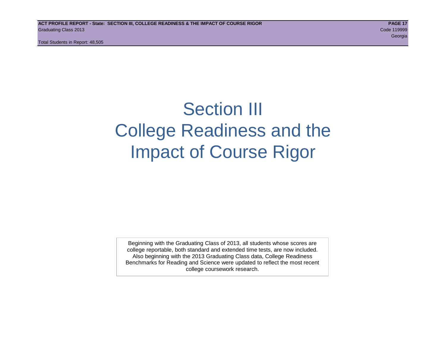# Section III College Readiness and the Impact of Course Rigor

Beginning with the Graduating Class of 2013, all students whose scores are college reportable, both standard and extended time tests, are now included. Also beginning with the 2013 Graduating Class data, College Readiness Benchmarks for Reading and Science were updated to reflect the most recent college coursework research.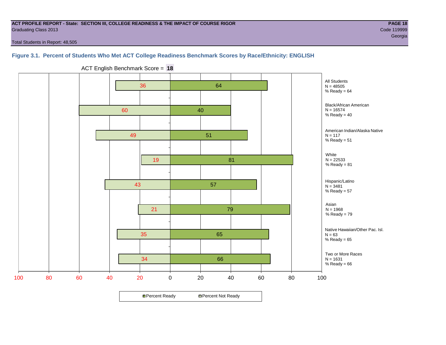#### **ACT PROFILE REPORT - State: SECTION III, COLLEGE READINESS & THE IMPACT OF COURSE RIGOR PAGE 18** Graduating Class 2013 Code 119999

Total Students in Report: 48,505

#### **Figure 3.1. Percent of Students Who Met ACT College Readiness Benchmark Scores by Race/Ethnicity: ENGLISH**



ACT English Benchmark Score = **18**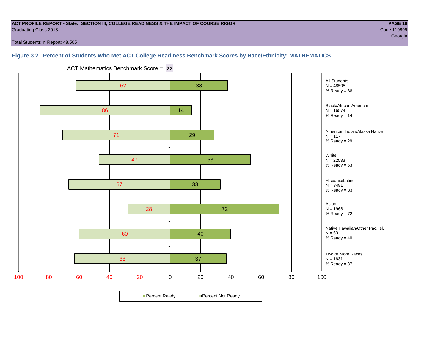#### **ACT PROFILE REPORT - State: SECTION III, COLLEGE READINESS & THE IMPACT OF COURSE RIGOR PAGE 19** Graduating Class 2013 Code 119999

en de la construction de la construction de la construction de la construction de la construction de la construction<br>Georgia

Total Students in Report: 48,505

#### **Figure 3.2. Percent of Students Who Met ACT College Readiness Benchmark Scores by Race/Ethnicity: MATHEMATICS**



ACT Mathematics Benchmark Score = **22**

**□ Percent Ready DPercent Not Ready**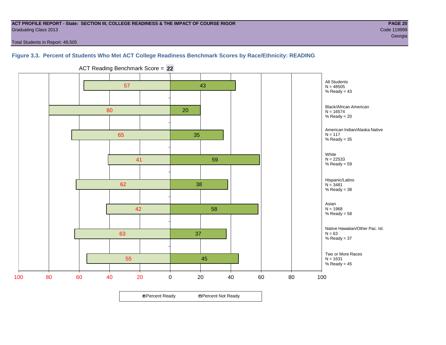#### **ACT PROFILE REPORT - State: SECTION III, COLLEGE READINESS & THE IMPACT OF COURSE RIGOR PAGE 20** Graduating Class 2013 Code 119999

en de la construction de la construction de la construction de la construction de la construction de la construction<br>Georgia

Total Students in Report: 48,505

#### **Figure 3.3. Percent of Students Who Met ACT College Readiness Benchmark Scores by Race/Ethnicity: READING**



ACT Reading Benchmark Score = **22**

**□ Percent Ready DPercent Not Ready**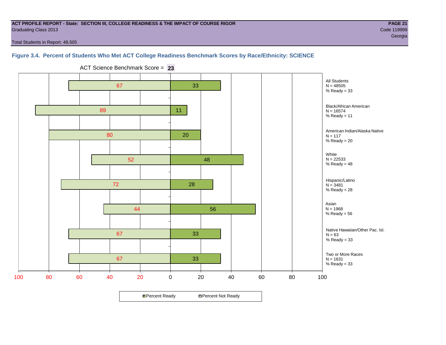#### **ACT PROFILE REPORT - State: SECTION III, COLLEGE READINESS & THE IMPACT OF COURSE RIGOR PAGE 21** Graduating Class 2013 Code 119999

en de la construction de la construction de la construction de la construction de la construction de la construction<br>Georgia

Total Students in Report: 48,505

#### **Figure 3.4. Percent of Students Who Met ACT College Readiness Benchmark Scores by Race/Ethnicity: SCIENCE**



ACT Science Benchmark Score = **23**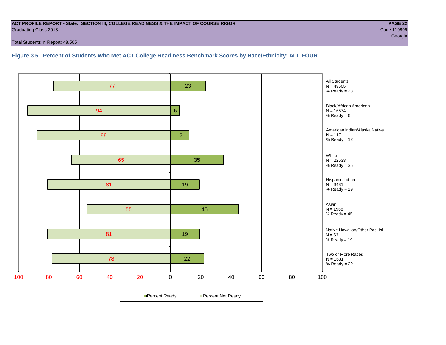#### **ACT PROFILE REPORT - State: SECTION III, COLLEGE READINESS & THE IMPACT OF COURSE RIGOR PAGE 22** Graduating Class 2013 Code 119999

Total Students in Report: 48,505

**Figure 3.5. Percent of Students Who Met ACT College Readiness Benchmark Scores by Race/Ethnicity: ALL FOUR**

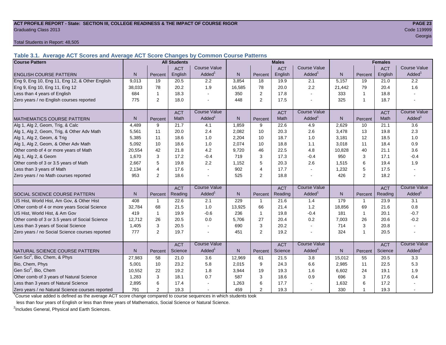#### **ACT PROFILE REPORT - State: SECTION III, COLLEGE READINESS & THE IMPACT OF COURSE RIGOR PAGE 23** Graduating Class 2013 Code 119999

Total Students in Report: 48,505

**Table 3.1. Average ACT Scores and Average ACT Score Changes by Common Course Patterns**

| <b>Course Pattern</b>                            |        |                | <b>All Students</b> |                     |              |                | <b>Males</b> |                          | <b>Females</b> |                |            |                        |
|--------------------------------------------------|--------|----------------|---------------------|---------------------|--------------|----------------|--------------|--------------------------|----------------|----------------|------------|------------------------|
|                                                  |        |                | <b>ACT</b>          | <b>Course Value</b> |              |                | <b>ACT</b>   | <b>Course Value</b>      |                |                | <b>ACT</b> | <b>Course Value</b>    |
| <b>ENGLISH COURSE PATTERN</b>                    | N.     | Percent        | English             | Added <sup>1</sup>  | N            | Percent        | English      | Added                    | N              | Percent        | English    | $A dded^1$             |
| Eng 9, Eng 10, Eng 11, Eng 12, & Other English   | 9,013  | 19             | 20.5                | 2.2                 | 3,854        | 18             | 19.9         | 2.1                      | 5,157          | 19             | 21.0       | 2.2                    |
| Eng 9, Eng 10, Eng 11, Eng 12                    | 38,033 | 78             | 20.2                | 1.9                 | 16,585       | 78             | 20.0         | 2.2                      | 21,442         | 79             | 20.4       | 1.6                    |
| Less than 4 years of English                     | 684    |                | 18.3                |                     | 350          | 2              | 17.8         | $\overline{\phantom{a}}$ | 333            | 1              | 18.8       |                        |
| Zero years / no English courses reported         | 775    | 2              | 18.0                |                     | 448          | 2              | 17.5         | $\overline{\phantom{a}}$ | 325            | 1              | 18.7       |                        |
|                                                  |        |                | <b>ACT</b>          | <b>Course Value</b> |              |                | <b>ACT</b>   | <b>Course Value</b>      |                |                | <b>ACT</b> | <b>Course Value</b>    |
| <b>MATHEMATICS COURSE PATTERN</b>                | N.     | Percent        | Math                | Added <sup>1</sup>  | $\mathsf{N}$ | Percent        | Math         | Added                    | $\overline{N}$ | Percent        | Math       | A d d e d <sup>1</sup> |
| Alg 1, Alg 2, Geom, Trig, & Calc                 | 4.489  | 9              | 21.7                | 4.1                 | 1,859        | 9              | 22.6         | 4.9                      | 2.629          | 10             | 21.1       | 3.6                    |
| Alg 1, Alg 2, Geom, Trig, & Other Adv Math       | 5.561  | 11             | 20.0                | 2.4                 | 2,082        | 10             | 20.3         | 2.6                      | 3,478          | 13             | 19.8       | 2.3                    |
| Alg 1, Alg 2, Geom, & Trig                       | 5,385  | 11             | 18.6                | 1.0                 | 2,204        | 10             | 18.7         | 1.0                      | 3,181          | 12             | 18.5       | 1.0                    |
| Alg 1, Alg 2, Geom, & Other Adv Math             | 5.092  | 10             | 18.6                | 1.0                 | 2,074        | 10             | 18.8         | 1.1                      | 3,018          | 11             | 18.4       | 0.9                    |
| Other comb of 4 or more years of Math            | 20,554 | 42             | 21.8                | 4.2                 | 9,720        | 46             | 22.5         | 4.8                      | 10,828         | 40             | 21.1       | 3.6                    |
| Alg 1, Alg 2, & Geom                             | 1,670  | 3              | 17.2                | $-0.4$              | 719          | 3              | 17.3         | $-0.4$                   | 950            | 3              | 17.1       | $-0.4$                 |
| Other comb of 3 or 3.5 years of Math             | 2.667  | 5              | 19.8                | 2.2                 | 1,152        | 5              | 20.3         | 2.6                      | 1,515          | 6              | 19.4       | 1.9                    |
| Less than 3 years of Math                        | 2.134  | $\overline{4}$ | 17.6                |                     | 902          | $\overline{4}$ | 17.7         | $\mathbf{r}$             | 1,232          | 5              | 17.5       |                        |
| Zero years / no Math courses reported            | 953    | 2              | 18.6                |                     | 525          | 2              | 18.8         | $\overline{a}$           | 426            | $\overline{2}$ | 18.2       |                        |
|                                                  |        |                | <b>ACT</b>          | <b>Course Value</b> |              |                | <b>ACT</b>   | <b>Course Value</b>      |                |                | <b>ACT</b> | <b>Course Value</b>    |
| SOCIAL SCIENCE COURSE PATTERN                    | N      | Percent        | Reading             | Added <sup>1</sup>  | N            | Percent        | Reading      | Added <sup>1</sup>       | N              | Percent        | Reading    | A d d e d <sup>1</sup> |
| US Hist, World Hist, Am Gov, & Other Hist        | 408    | $\mathbf{1}$   | 22.6                | 2.1                 | 229          | $\mathbf{1}$   | 21.6         | 1.4                      | 179            | 1              | 23.9       | 3.1                    |
| Other comb of 4 or more years Social Science     | 32,784 | 68             | 21.5                | 1.0                 | 13,925       | 66             | 21.4         | 1.2                      | 18,856         | 69             | 21.6       | 0.8                    |
| US Hist, World Hist, & Am Gov                    | 419    | -1             | 19.9                | $-0.6$              | 236          | $\mathbf{1}$   | 19.8         | $-0.4$                   | 181            | $\mathbf{1}$   | 20.1       | $-0.7$                 |
| Other comb of 3 or 3.5 years of Social Science   | 12,712 | 26             | 20.5                | 0.0                 | 5,706        | 27             | 20.4         | 0.2                      | 7,003          | 26             | 20.6       | $-0.2$                 |
| Less than 3 years of Social Science              | 1,405  | 3              | 20.5                |                     | 690          | 3              | 20.2         | $\sim$                   | 714            | 3              | 20.8       |                        |
| Zero years / no Social Science courses reported  | 777    | $\overline{2}$ | 19.7                |                     | 451          | 2              | 19.2         | $\overline{\phantom{a}}$ | 324            | 1              | 20.5       |                        |
|                                                  |        |                | <b>ACT</b>          | <b>Course Value</b> |              |                | <b>ACT</b>   | <b>Course Value</b>      |                |                | <b>ACT</b> | <b>Course Value</b>    |
| NATURAL SCIENCE COURSE PATTERN                   | N.     | Percent        | Science             | Added <sup>1</sup>  | N            | Percent        | Science      | Added <sup>1</sup>       | N              | Percent        | Science    | A d d e d <sup>1</sup> |
| Gen Sci <sup>2</sup> , Bio, Chem, & Phys         | 27,983 | 58             | 21.0                | 3.6                 | 12,969       | 61             | 21.5         | 3.8                      | 15,012         | 55             | 20.5       | 3.3                    |
| Bio, Chem, Phys                                  | 5,001  | 10             | 23.2                | 5.8                 | 2,015        | 9              | 24.3         | 6.6                      | 2,985          | 11             | 22.5       | 5.3                    |
| Gen Sci <sup>2</sup> , Bio, Chem                 | 10,552 | 22             | 19.2                | 1.8                 | 3,944        | 19             | 19.3         | 1.6                      | 6,602          | 24             | 19.1       | 1.9                    |
| Other comb of 3 years of Natural Science         | 1,283  | 3              | 18.1                | 0.7                 | 587          | 3              | 18.6         | 0.9                      | 696            | 3              | 17.6       | 0.4                    |
| Less than 3 years of Natural Science             | 2,895  | 6              | 17.4                |                     | 1,263        | 6              | 17.7         |                          | 1,632          | 6              | 17.2       |                        |
| Zero years / no Natural Science courses reported | 791    | $\overline{2}$ | 19.3                |                     | 459          | $\overline{c}$ | 19.3         | $\sim$                   | 330            | 1              | 19.3       |                        |

<sup>1</sup>Course value added is defined as the average ACT score change compared to course sequences in which students took

less than four years of English or less than three years of Mathematics, Social Science or Natural Science.

<sup>2</sup>Includes General, Physical and Earth Sciences.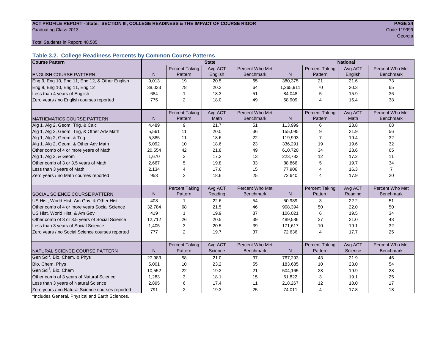#### **ACT PROFILE REPORT - State: SECTION III, COLLEGE READINESS & THE IMPACT OF COURSE RIGOR PAGE 24 Graduating Class 2013** Code 119999

en de la construction de la construction de la construction de la construction de la construction de la constru

Total Students in Report: 48,505

#### **Table 3.2. College Readiness Percents by Common Course Patterns**

| <b>Course Pattern</b>                            | <b>State</b><br><b>National</b> |                                  |                    |                                     |              |                                  |                    |                                     |
|--------------------------------------------------|---------------------------------|----------------------------------|--------------------|-------------------------------------|--------------|----------------------------------|--------------------|-------------------------------------|
|                                                  |                                 | <b>Percent Taking</b>            | Avg ACT            | Percent Who Met                     |              | <b>Percent Taking</b>            | Avg ACT            | Percent Who Met                     |
| <b>ENGLISH COURSE PATTERN</b>                    | N                               | Pattern                          | English            | <b>Benchmark</b>                    | N            | Pattern                          | English            | <b>Benchmark</b>                    |
| Eng 9, Eng 10, Eng 11, Eng 12, & Other English   | 9,013                           | 19                               | 20.5               | 65                                  | 380,375      | 21                               | 21.6               | 73                                  |
| Eng 9, Eng 10, Eng 11, Eng 12                    | 38,033                          | 78                               | 20.2               | 64                                  | 1,265,911    | 70                               | 20.3               | 65                                  |
| Less than 4 years of English                     | 684                             | 1                                | 18.3               | 51                                  | 84,048       | 5                                | 15.9               | 36                                  |
| Zero years / no English courses reported         | 775                             | 2                                | 18.0               | 49                                  | 68,909       | 4                                | 16.4               | 38                                  |
|                                                  |                                 |                                  |                    |                                     |              |                                  |                    |                                     |
|                                                  |                                 | <b>Percent Taking</b>            | Avg ACT            | Percent Who Met                     |              | <b>Percent Taking</b>            | Avg ACT            | Percent Who Met                     |
| <b>MATHEMATICS COURSE PATTERN</b>                | N                               | Pattern                          | Math               | <b>Benchmark</b>                    | $\mathsf{N}$ | Pattern                          | Math               | <b>Benchmark</b>                    |
| Alg 1, Alg 2, Geom, Trig, & Calc                 | 4,489                           | 9                                | 21.7               | 51                                  | 113,999      | 6                                | 23.8               | 68                                  |
| Alg 1, Alg 2, Geom, Trig, & Other Adv Math       | 5,561                           | 11                               | 20.0               | 36                                  | 155,095      | 9                                | 21.9               | 56                                  |
| Alg 1, Alg 2, Geom, & Trig                       | 5,385                           | 11                               | 18.6               | 22                                  | 119,993      | $\overline{7}$                   | 19.4               | 32                                  |
| Alg 1, Alg 2, Geom, & Other Adv Math             | 5,092                           | 10                               | 18.6               | 23                                  | 336,291      | 19                               | 19.6               | 32                                  |
| Other comb of 4 or more years of Math            | 20,554                          | 42                               | 21.8               | 49                                  | 610,720      | 34                               | 23.6               | 65                                  |
| Alg 1, Alg 2, & Geom                             | 1,670                           | 3                                | 17.2               | 13                                  | 223,733      | 12                               | 17.2               | 11                                  |
| Other comb of 3 or 3.5 years of Math             | 2.667                           | 5                                | 19.8               | 33                                  | 88,866       | 5                                | 19.7               | 34                                  |
| Less than 3 years of Math                        | 2,134                           | 4                                | 17.6               | 15                                  | 77,906       | 4                                | 16.3               | $\overline{7}$                      |
| Zero years / no Math courses reported            | 953                             | 2                                | 18.6               | 25                                  | 72,640       | 4                                | 17.9               | 20                                  |
|                                                  |                                 |                                  |                    |                                     |              |                                  |                    |                                     |
|                                                  |                                 | <b>Percent Taking</b>            | Avg ACT            | Percent Who Met                     |              | <b>Percent Taking</b>            | Avg ACT            | Percent Who Met                     |
| SOCIAL SCIENCE COURSE PATTERN                    | N.                              | Pattern                          | Reading            | <b>Benchmark</b>                    | N            | Pattern                          | Reading            | <b>Benchmark</b>                    |
| US Hist, World Hist, Am Gov, & Other Hist        | 408                             |                                  | 22.6               | 54                                  | 50,989       | 3                                | 22.2               | 51                                  |
| Other comb of 4 or more years Social Science     | 32,784                          | 68                               | 21.5               | 46                                  | 908,394      | 50                               | 22.0               | 50                                  |
| US Hist, World Hist, & Am Gov                    | 419                             | 1                                | 19.9               | 37                                  | 106,021      | 6                                | 19.5               | 34                                  |
| Other comb of 3 or 3.5 years of Social Science   | 12,712                          | 26                               | 20.5               | 39                                  | 489.586      | 27                               | 21.0               | 43                                  |
| Less than 3 years of Social Science              | 1,405                           | 3                                | 20.5               | 39                                  | 171,617      | 10                               | 19.1               | 32                                  |
| Zero years / no Social Science courses reported  | 777                             | $\overline{2}$                   | 19.7               | 37                                  | 72,636       | 4                                | 17.7               | 25                                  |
|                                                  |                                 |                                  |                    |                                     |              |                                  |                    |                                     |
|                                                  | N.                              | <b>Percent Taking</b><br>Pattern | Avg ACT<br>Science | Percent Who Met<br><b>Benchmark</b> | N.           | <b>Percent Taking</b><br>Pattern | Avg ACT<br>Science | Percent Who Met<br><b>Benchmark</b> |
| NATURAL SCIENCE COURSE PATTERN                   |                                 |                                  |                    |                                     |              |                                  |                    |                                     |
| Gen Sci <sup>1</sup> , Bio, Chem, & Phys         | 27,983                          | 58                               | 21.0               | 37                                  | 767,293      | 43                               | 21.9               | 46                                  |
| Bio, Chem, Phys                                  | 5,001                           | 10                               | 23.2               | 55                                  | 183,685      | 10                               | 23.0               | 54                                  |
| Gen Sci <sup>1</sup> , Bio, Chem                 | 10,552                          | 22                               | 19.2               | 21                                  | 504,165      | 28                               | 19.9               | 28                                  |
| Other comb of 3 years of Natural Science         | 1,283                           | 3                                | 18.1               | 15                                  | 51,822       | 3                                | 19.1               | 25                                  |
| Less than 3 years of Natural Science             | 2,895                           | 6                                | 17.4               | 11                                  | 218,267      | 12                               | 18.0               | 17                                  |
| Zero years / no Natural Science courses reported | 791                             | $\overline{2}$                   | 19.3               | 25                                  | 74,011       | 4                                | 17.8               | 18                                  |

<sup>1</sup>Includes General, Physical and Earth Sciences.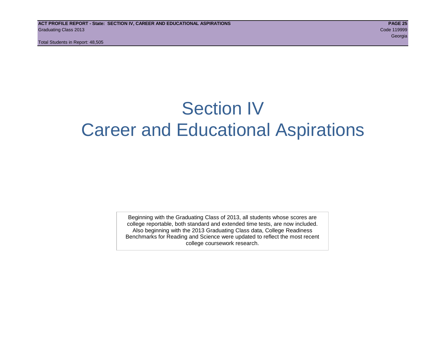# Section IV Career and Educational Aspirations

Beginning with the Graduating Class of 2013, all students whose scores are college reportable, both standard and extended time tests, are now included. Also beginning with the 2013 Graduating Class data, College Readiness Benchmarks for Reading and Science were updated to reflect the most recent college coursework research.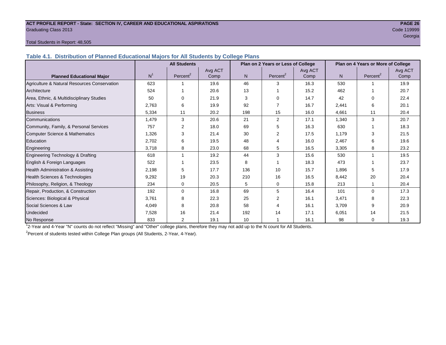#### **ACT PROFILE REPORT - State: SECTION IV, CAREER AND EDUCATIONAL ASPIRATIONS PAGE 26** Graduating Class 2013 Code 119999

## en de la construction de la construction de la construction de la construction de la construction de la construction<br>Georgia

#### Total Students in Report: 48,505

**Table 4.1. Distribution of Planned Educational Majors for All Students by College Plans**

|                                              |                | <b>All Students</b>  |         |                | Plan on 2 Years or Less of College |         | Plan on 4 Years or More of College |                      |         |  |
|----------------------------------------------|----------------|----------------------|---------|----------------|------------------------------------|---------|------------------------------------|----------------------|---------|--|
|                                              |                |                      | Avg ACT |                |                                    | Avg ACT |                                    |                      | Avg ACT |  |
| <b>Planned Educational Major</b>             | N <sup>1</sup> | Percent <sup>2</sup> | Comp    | N <sub>1</sub> | Percent <sup>2</sup>               | Comp    | N <sub>1</sub>                     | Percent <sup>2</sup> | Comp    |  |
| Agriculture & Natural Resources Conservation | 623            |                      | 19.6    | 46             | 3                                  | 16.3    | 530                                |                      | 19.9    |  |
| Architecture                                 | 524            |                      | 20.6    | 13             |                                    | 15.2    | 462                                |                      | 20.7    |  |
| Area, Ethnic, & Multidisciplinary Studies    | 50             | $\Omega$             | 21.9    | 3              | $\Omega$                           | 14.7    | 42                                 | $\Omega$             | 22.4    |  |
| Arts: Visual & Performing                    | 2,763          | 6                    | 19.9    | 92             |                                    | 16.7    | 2,441                              | 6                    | 20.1    |  |
| <b>Business</b>                              | 5,334          | 11                   | 20.2    | 198            | 15                                 | 16.0    | 4,661                              | 11                   | 20.4    |  |
| Communications                               | 1,479          | 3                    | 20.6    | 21             | 2                                  | 17.1    | 1,340                              | 3                    | 20.7    |  |
| Community, Family, & Personal Services       | 757            | 2                    | 18.0    | 69             | 5                                  | 16.3    | 630                                |                      | 18.3    |  |
| Computer Science & Mathematics               | 1,326          | 3                    | 21.4    | 30             |                                    | 17.5    | 1,179                              | 3                    | 21.5    |  |
| Education                                    | 2,702          | 6                    | 19.5    | 48             | 4                                  | 16.0    | 2,467                              | 6                    | 19.6    |  |
| Engineering                                  | 3,718          | 8                    | 23.0    | 68             | 5                                  | 16.5    | 3,305                              | 8                    | 23.2    |  |
| Engineering Technology & Drafting            | 618            |                      | 19.2    | 44             | 3                                  | 15.6    | 530                                |                      | 19.5    |  |
| English & Foreign Languages                  | 522            |                      | 23.5    | 8              |                                    | 18.3    | 473                                |                      | 23.7    |  |
| <b>Health Administration &amp; Assisting</b> | 2,198          | 5                    | 17.7    | 136            | 10                                 | 15.7    | 1,896                              | 5                    | 17.9    |  |
| Health Sciences & Technologies               | 9,292          | 19                   | 20.3    | 210            | 16                                 | 16.5    | 8,442                              | 20                   | 20.4    |  |
| Philosophy, Religion, & Theology             | 234            | 0                    | 20.5    | 5              | $\mathbf 0$                        | 15.8    | 213                                |                      | 20.4    |  |
| Repair, Production, & Construction           | 192            | $\Omega$             | 16.8    | 69             | 5                                  | 16.4    | 101                                | $\Omega$             | 17.3    |  |
| Sciences: Biological & Physical              | 3,761          | 8                    | 22.3    | 25             | 2                                  | 16.1    | 3,471                              | 8                    | 22.3    |  |
| Social Sciences & Law                        | 4,049          | 8                    | 20.8    | 58             |                                    | 16.1    | 3,709                              | 9                    | 20.9    |  |
| Undecided                                    | 7,528          | 16                   | 21.4    | 192            | 14                                 | 17.1    | 6,051                              | 14                   | 21.5    |  |
| No Response                                  | 833            | $\overline{2}$       | 19.1    | 10             |                                    | 16.1    | 98                                 | $\mathbf 0$          | 19.3    |  |

1 2-Year and 4-Year "N" counts do not reflect "Missing" and "Other" college plans, therefore they may not add up to the N count for All Students.

<sup>2</sup> Percent of students tested within College Plan groups (All Students, 2-Year, 4-Year).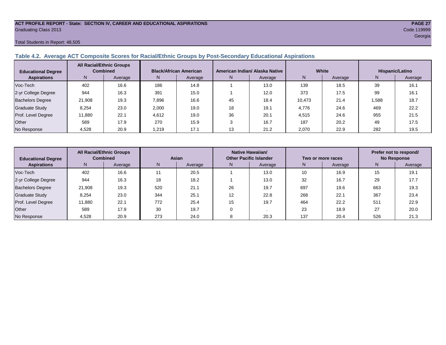#### **ACT PROFILE REPORT - State: SECTION IV, CAREER AND EDUCATIONAL ASPIRATIONS PAGE 27** Graduating Class 2013 Code 119999

#### Total Students in Report: 48,505

#### **Table 4.2. Average ACT Composite Scores for Racial/Ethnic Groups by Post-Secondary Educational Aspirations**

| <b>Educational Degree</b> |        | <b>All Racial/Ethnic Groups</b><br><b>Combined</b> |       | <b>Black/African American</b> |    | American Indian/ Alaska Native |        | White   | Hispanic/Latino |         |  |
|---------------------------|--------|----------------------------------------------------|-------|-------------------------------|----|--------------------------------|--------|---------|-----------------|---------|--|
| <b>Aspirations</b>        | N.     | Average                                            | N.    | Average                       | N. | Average                        | N      | Average | N.              | Average |  |
| Voc-Tech                  | 402    | 16.6                                               | 186   | 14.8                          |    | 13.0                           | 139    | 18.5    | 39              | 16.1    |  |
| 2-yr College Degree       | 944    | 16.3                                               | 391   | 15.0                          |    | 12.0                           | 373    | 17.5    | 99              | 16.1    |  |
| <b>Bachelors Degree</b>   | 21,908 | 19.3                                               | 7,896 | 16.6                          | 45 | 18.4                           | 10.473 | 21.4    | 1,588           | 18.7    |  |
| Graduate Study            | 8.254  | 23.0                                               | 2,000 | 19.0                          | 18 | 19.1                           | 4,776  | 24.6    | 469             | 22.2    |  |
| Prof. Level Degree        | 11,880 | 22.1                                               | 4,612 | 19.0                          | 36 | 20.1                           | 4,515  | 24.6    | 955             | 21.5    |  |
| Other                     | 589    | 17.9                                               | 270   | 15.9                          |    | 16.7                           | 187    | 20.2    | 49              | 17.5    |  |
| No Response               | 4,528  | 20.9                                               | 1.219 | 17.1                          |    | 21.2                           | 2.070  | 22.9    | 282             | 19.5    |  |

| <b>Educational Degree</b> | <b>All Racial/Ethnic Groups</b><br><b>Combined</b> |         | Asian |         | Native Hawaiian/<br><b>Other Pacific Islander</b> |         | Two or more races |         | Prefer not to respond/<br><b>No Response</b> |         |  |
|---------------------------|----------------------------------------------------|---------|-------|---------|---------------------------------------------------|---------|-------------------|---------|----------------------------------------------|---------|--|
| <b>Aspirations</b>        | N <sub>1</sub>                                     | Average | N.    | Average | N.                                                | Average | N                 | Average | N                                            | Average |  |
| Voc-Tech                  | 402                                                | 16.6    | 11    | 20.5    |                                                   | 13.0    | 10                | 16.9    | 15                                           | 19.1    |  |
| 2-yr College Degree       | 944                                                | 16.3    | 18    | 18.2    |                                                   | 13.0    | 32                | 16.7    | 29                                           | 17.7    |  |
| <b>Bachelors Degree</b>   | 21,908                                             | 19.3    | 520   | 21.1    | 26                                                | 19.7    | 697               | 19.6    | 663                                          | 19.3    |  |
| <b>Graduate Study</b>     | 8,254                                              | 23.0    | 344   | 25.1    | 12                                                | 22.8    | 268               | 22.1    | 367                                          | 23.4    |  |
| Prof. Level Degree        | 11,880                                             | 22.1    | 772   | 25.4    | 15                                                | 19.7    | 464               | 22.2    | 511                                          | 22.9    |  |
| Other                     | 589                                                | 17.9    | 30    | 19.7    |                                                   |         | 23                | 18.9    | 27                                           | 20.0    |  |
| No Response               | 4,528                                              | 20.9    | 273   | 24.0    |                                                   | 20.3    | 137               | 20.4    | 526                                          | 21.3    |  |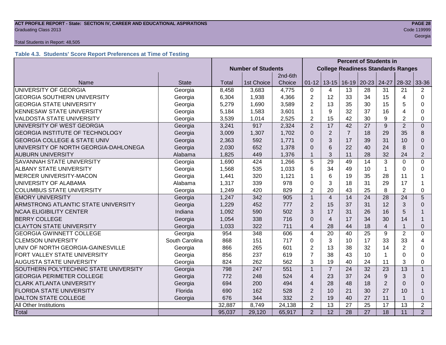### **ACT PROFILE REPORT - State: SECTION IV, CAREER AND EDUCATIONAL ASPIRATIONS PAGE 28** Graduating Class 2013 Code 119999

#### Total Students in Report: 48,505

### **Table 4.3. Students' Score Report Preferences at Time of Testing**

|                                         |                |                           |            |         | <b>Percent of Students in</b> |                                           |                 |                 |                 |                |                |  |
|-----------------------------------------|----------------|---------------------------|------------|---------|-------------------------------|-------------------------------------------|-----------------|-----------------|-----------------|----------------|----------------|--|
|                                         |                | <b>Number of Students</b> |            |         |                               | <b>College Readiness Standards Ranges</b> |                 |                 |                 |                |                |  |
|                                         |                |                           |            | 2nd-6th |                               |                                           |                 |                 |                 |                |                |  |
| Name                                    | <b>State</b>   | <b>Total</b>              | 1st Choice | Choice  | $01 - 12$                     | $13 - 15$                                 | $16-19$         | $20 - 23$       | 24-27           | $28 - 32$      | 33-36          |  |
| UNIVERSITY OF GEORGIA                   | Georgia        | 8,458                     | 3,683      | 4,775   | $\Omega$                      | 4                                         | 13              | 28              | 31              | 21             | 2              |  |
| <b>GEORGIA SOUTHERN UNIVERSITY</b>      | Georgia        | 6,304                     | 1,938      | 4,366   | $\overline{2}$                | 12                                        | 33              | 34              | 15              | 4              | $\Omega$       |  |
| <b>GEORGIA STATE UNIVERSITY</b>         | Georgia        | 5,279                     | 1,690      | 3,589   | $\overline{2}$                | 13                                        | 35              | 30              | 15              | 5              | 0              |  |
| <b>KENNESAW STATE UNIVERSITY</b>        | Georgia        | 5,184                     | 1,583      | 3,601   | 1                             | 9                                         | 32              | 37              | 16              | 4              | 0              |  |
| <b>VALDOSTA STATE UNIVERSITY</b>        | Georgia        | 3,539                     | 1,014      | 2,525   | $\overline{2}$                | 15                                        | 42              | 30              | 9               | 2              | 0              |  |
| UNIVERSITY OF WEST GEORGIA              | Georgia        | 3,241                     | 917        | 2,324   | $\overline{2}$                | 17                                        | 42              | 27              | 9               | $\overline{2}$ | $\Omega$       |  |
| <b>GEORGIA INSTITUTE OF TECHNOLOGY</b>  | Georgia        | 3,009                     | 1,307      | 1,702   | $\Omega$                      | $\overline{2}$                            | $\overline{7}$  | 18              | 29              | 35             | 8              |  |
| <b>GEORGIA COLLEGE &amp; STATE UNIV</b> | Georgia        | 2,363                     | 592        | 1,771   | $\Omega$                      | 3                                         | 17              | 39              | 31              | 10             | $\Omega$       |  |
| UNIVERSITY OF NORTH GEORGIA-DAHLONEGA   | Georgia        | 2,030                     | 652        | 1,378   | $\Omega$                      | 6                                         | 22              | 40              | 24              | 8              | $\Omega$       |  |
| <b>AUBURN UNIVERSITY</b>                | Alabama        | 1,825                     | 449        | 1,376   | $\mathbf{1}$                  | 3                                         | 11              | 28              | 32              | 24             | $\overline{2}$ |  |
| SAVANNAH STATE UNIVERSITY               | Georgia        | 1,690                     | 424        | 1,266   | 5                             | 29                                        | 49              | 14              | 3               | $\Omega$       | $\Omega$       |  |
| <b>ALBANY STATE UNIVERSITY</b>          | Georgia        | 1,568                     | 535        | 1,033   | 6                             | 34                                        | 49              | 10              | $\overline{1}$  | 0              | 0              |  |
| <b>MERCER UNIVERSITY-MACON</b>          | Georgia        | 1,441                     | 320        | 1,121   | 1                             | 6                                         | 19              | 35              | 28              | 11             |                |  |
| UNIVERSITY OF ALABAMA                   | Alabama        | 1,317                     | 339        | 978     | $\Omega$                      | 3                                         | 18              | 31              | 29              | 17             |                |  |
| <b>COLUMBUS STATE UNIVERSITY</b>        | Georgia        | 1,249                     | 420        | 829     | $\overline{2}$                | 20                                        | 43              | 25              | 8               | $\overline{2}$ | 0              |  |
| <b>EMORY UNIVERSITY</b>                 | Georgia        | 1,247                     | 342        | 905     | $\mathbf{1}$                  | $\overline{4}$                            | 14              | 24              | 28              | 24             | 5              |  |
| ARMSTRONG ATLANTIC STATE UNIVERSITY     | Georgia        | 1,229                     | 452        | 777     | $\overline{2}$                | 15                                        | 37              | 31              | 12              | 3              | $\Omega$       |  |
| <b>NCAA ELIGIBILITY CENTER</b>          | Indiana        | 1,092                     | 590        | 502     | 3                             | 17                                        | 31              | 26              | 16              | 5              |                |  |
| <b>BERRY COLLEGE</b>                    | Georgia        | 1,054                     | 338        | 716     | $\Omega$                      | $\overline{4}$                            | 17              | 34              | 30              | 14             | $\mathbf 1$    |  |
| <b>CLAYTON STATE UNIVERSITY</b>         | Georgia        | 1,033                     | 322        | 711     | 4                             | 28                                        | 44              | 18              | $\overline{4}$  |                | $\Omega$       |  |
| <b>GEORGIA GWINNETT COLLEGE</b>         | Georgia        | 954                       | 348        | 606     | $\overline{4}$                | 20                                        | 40              | 25              | 9               | $\overline{2}$ | $\Omega$       |  |
| <b>CLEMSON UNIVERSITY</b>               | South Carolina | 868                       | 151        | 717     | 0                             | 3                                         | 10              | 17              | 33              | 33             | 4              |  |
| UNIV OF NORTH GEORGIA-GAINESVILLE       | Georgia        | 866                       | 265        | 601     | $\overline{2}$                | 13                                        | 38              | 32              | 14              | $\overline{2}$ | 0              |  |
| FORT VALLEY STATE UNIVERSITY            | Georgia        | 856                       | 237        | 619     | $\overline{7}$                | 38                                        | 43              | 10              | $\overline{1}$  | 0              | 0              |  |
| <b>AUGUSTA STATE UNIVERSITY</b>         | Georgia        | 824                       | 262        | 562     | 3                             | 19                                        | 40              | 24              | 11              | 3              | 0              |  |
| SOUTHERN POLYTECHNIC STATE UNIVERSITY   | Georgia        | 798                       | 247        | 551     | $\mathbf{1}$                  | $\overline{7}$                            | 24              | 32              | 23              | 13             | $\mathbf{1}$   |  |
| <b>GEORGIA PERIMETER COLLEGE</b>        | Georgia        | 772                       | 248        | 524     | 4                             | 23                                        | 37              | 24              | 9               | 3              | $\Omega$       |  |
| <b>CLARK ATLANTA UNIVERSITY</b>         | Georgia        | 694                       | 200        | 494     | 4                             | 28                                        | 48              | 18              | $\overline{2}$  | $\Omega$       | $\Omega$       |  |
| <b>FLORIDA STATE UNIVERSITY</b>         | Florida        | 690                       | 162        | 528     | $\overline{2}$                | 10                                        | 21              | 30              | 27              | 10             | 1              |  |
| <b>DALTON STATE COLLEGE</b>             | Georgia        | 676                       | 344        | 332     | $\overline{2}$                | 19                                        | 40              | 27              | 11              |                | $\mathbf{0}$   |  |
| All Other Institutions                  |                | 32,887                    | 8,749      | 24,138  | $\overline{2}$                | 13                                        | 27              | 25              | 17              | 13             | $\overline{2}$ |  |
| Total                                   |                | 95,037                    | 29,120     | 65,917  | $\overline{2}$                | $\overline{12}$                           | $\overline{28}$ | $\overline{27}$ | $\overline{18}$ | 11             | $\overline{2}$ |  |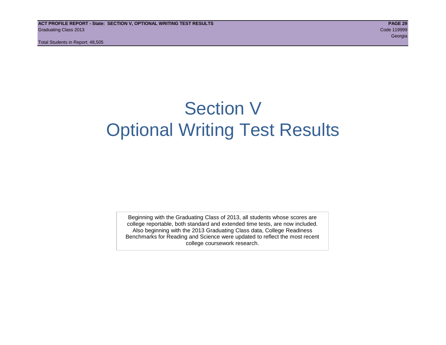# Section V Optional Writing Test Results

Beginning with the Graduating Class of 2013, all students whose scores are college reportable, both standard and extended time tests, are now included. Also beginning with the 2013 Graduating Class data, College Readiness Benchmarks for Reading and Science were updated to reflect the most recent college coursework research.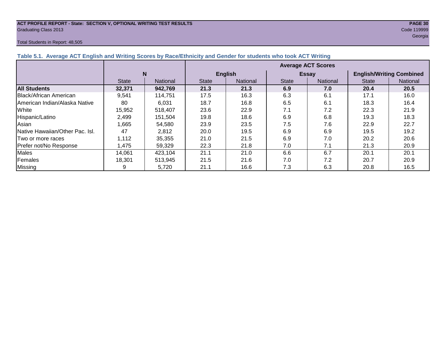#### **ACT PROFILE REPORT - State: SECTION V, OPTIONAL WRITING TEST RESULTS PAGE 30** Graduating Class 2013 Code 119999

#### Total Students in Report: 48,505

en de la construction de la construction de la construction de la construction de la construction de la constru

| $\frac{1}{2}$ and $\frac{1}{2}$ . The case the contract of the contract of $\frac{1}{2}$ and $\frac{1}{2}$ and $\frac{1}{2}$ and $\frac{1}{2}$ and $\frac{1}{2}$ and $\frac{1}{2}$ and $\frac{1}{2}$ and $\frac{1}{2}$ and $\frac{1}{2}$ |              |                 |                           |                |              |              |                                 |          |  |  |  |
|------------------------------------------------------------------------------------------------------------------------------------------------------------------------------------------------------------------------------------------|--------------|-----------------|---------------------------|----------------|--------------|--------------|---------------------------------|----------|--|--|--|
|                                                                                                                                                                                                                                          |              |                 | <b>Average ACT Scores</b> |                |              |              |                                 |          |  |  |  |
|                                                                                                                                                                                                                                          | N            |                 |                           | <b>English</b> |              | <b>Essay</b> | <b>English/Writing Combined</b> |          |  |  |  |
|                                                                                                                                                                                                                                          | <b>State</b> | <b>National</b> | <b>State</b>              | National       | <b>State</b> | National     | <b>State</b>                    | National |  |  |  |
| <b>All Students</b>                                                                                                                                                                                                                      | 32,371       | 942,769         | 21.3                      | 21.3           | 6.9          | 7.0          | 20.4                            | 20.5     |  |  |  |
| Black/African American                                                                                                                                                                                                                   | 9,541        | 114,751         | 17.5                      | 16.3           | 6.3          | 6.1          | 17.1                            | 16.0     |  |  |  |
| American Indian/Alaska Native                                                                                                                                                                                                            | 80           | 6,031           | 18.7                      | 16.8           | 6.5          | 6.1          | 18.3                            | 16.4     |  |  |  |
| White                                                                                                                                                                                                                                    | 15,952       | 518,407         | 23.6                      | 22.9           | 7.1          | 7.2          | 22.3                            | 21.9     |  |  |  |
| Hispanic/Latino                                                                                                                                                                                                                          | 2,499        | 151,504         | 19.8                      | 18.6           | 6.9          | 6.8          | 19.3                            | 18.3     |  |  |  |
| Asian                                                                                                                                                                                                                                    | 1.665        | 54,580          | 23.9                      | 23.5           | 7.5          | 7.6          | 22.9                            | 22.7     |  |  |  |
| <b>Native Hawaiian/Other Pac. Isl.</b>                                                                                                                                                                                                   | 47           | 2,812           | 20.0                      | 19.5           | 6.9          | 6.9          | 19.5                            | 19.2     |  |  |  |
| Two or more races                                                                                                                                                                                                                        | 1,112        | 35,355          | 21.0                      | 21.5           | 6.9          | 7.0          | 20.2                            | 20.6     |  |  |  |
| Prefer not/No Response                                                                                                                                                                                                                   | 1,475        | 59,329          | 22.3                      | 21.8           | 7.0          | 7.1          | 21.3                            | 20.9     |  |  |  |
| <b>Males</b>                                                                                                                                                                                                                             | 14,061       | 423,104         | 21.1                      | 21.0           | 6.6          | 6.7          | 20.1                            | 20.1     |  |  |  |
| Females                                                                                                                                                                                                                                  | 18,301       | 513,945         | 21.5                      | 21.6           | 7.0          | 7.2          | 20.7                            | 20.9     |  |  |  |
| <b>Missing</b>                                                                                                                                                                                                                           | 9            | 5,720           | 21.1                      | 16.6           | 7.3          | 6.3          | 20.8                            | 16.5     |  |  |  |

#### **Table 5.1. Average ACT English and Writing Scores by Race/Ethnicity and Gender for students who took ACT Writing**